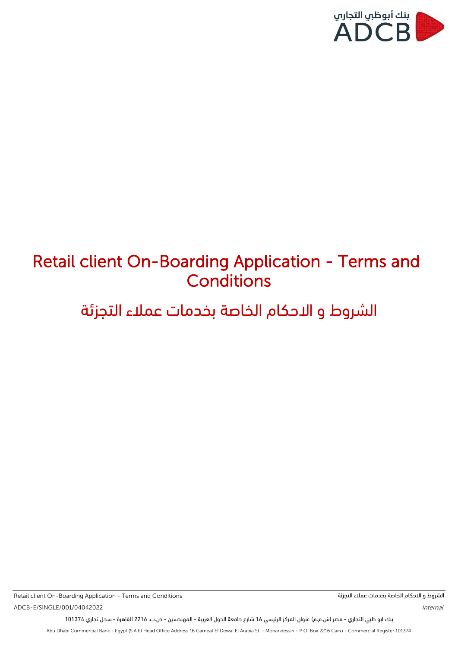

# Retail client On-Boarding Application - Terms and **Conditions**

# الشروط و االحكام الخاصة بخدمات عمالء التجزئة

ADCB-E/SINGLE/001/04042022 *Internal* Retail client On-Boarding Application - Terms and Conditions

الشروط و االحكام الخاصة بخدمات عمالء التجزئة

بنك ابو ظبي التجاري - مصر )ش.م.م( عنوان المركز الرئيسي 16 شارع جامعة الدول العربية - المهندسين - ص.ب. 2216 القاهرة - سجل تجاري 101374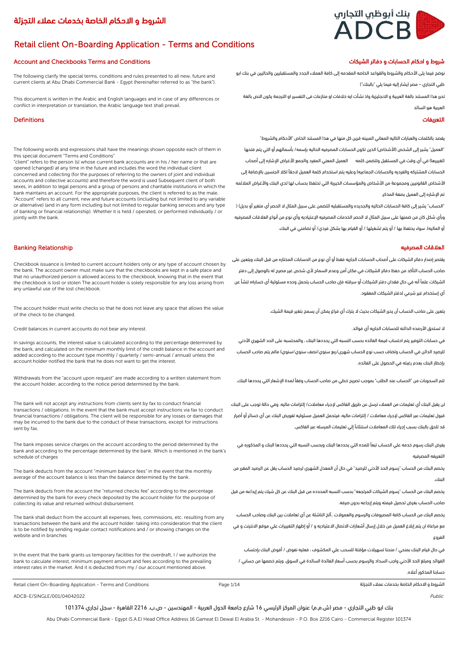# بنك أبوظبي التجاري ADCB

# الشروط و االحكام الخاصة بخدمات عمالء التجزئة

# Retail client On-Boarding Application - Terms and Conditions

### شروط و احكام الحسابات و دفاتر الشيكات صحيح المستقطع الحسابات و دفاتر الشيكات المستقطع المستقطع المستقطع المستق

The following clarify the special terms, conditions and rules presented to all new, future and current clients at Abu Dhabi Commercial Bank - Egypt (hereinafter referred to as "the bank").

This document is written in the Arabic and English languages and in case of any differences or conflict in interpretation or translation, the Arabic language text shall prevail.

### التعريفات Definitions

The following words and expressions shall have the meanings shown opposite each of them in this special document "Terms and Conditions"

"client" refers to the person (s) whose current bank accounts are in his / her name or that are opened (changed) at any time in the future and includes the word the individual client concerned and collecting (for the purposes of referring to the owners of joint and individual accounts and collective accounts) and therefore the word is used Subsequent client of both sexes, in addition to legal persons and a group of persons and charitable institutions in which the bank maintains an account. For the appropriate purposes, the client is referred to as the male. "Account" refers to all current, new and future accounts (including but not limited to any variable or alternative) (and in any form including but not limited to regular banking services and any type of banking or financial relationship). Whether it is held / operated, or performed individually / or iointly with the bank.

### العالقات المصرفيه Relationship Banking

Checkbook issuance is limited to current account holders only or any type of account chosen by the bank. The account owner must make sure that the checkbooks are kept in a safe place and that no unauthorized person is allowed access to the checkbook, knowing that in the event that the checkbook is lost or stolen The account holder is solely responsible for any loss arising from any unlawful use of the lost checkbook.

The account holder must write checks so that he does not leave any space that allows the value of the check to be changed.

Credit balances in current accounts do not bear any interest. .فوائد أي الجاريه للحسابات الدائنه األرصده تستحق ال

In savings accounts, the interest value is calculated according to the percentage determined by the bank, and calculated on the minimum monthly limit of the credit balance in the account and added according to the account type monthly / quarterly / semi-annual / annual) unless the account holder notified the bank that he does not want to get the interest.

Withdrawals from the "account upon request" are made according to a written statement from the account holder, according to the notice period determined by the bank.

The bank will not accept any instructions from clients sent by fax to conduct financial transactions / obligations. In the event that the bank must accept instructions via fax to conduct financial transactions / obligations. The client will be responsible for any losses or damages that may be incurred to the bank due to the conduct of these transactions, except for instructions sent by fax.

The bank imposes service charges on the account according to the period determined by the bank and according to the percentage determined by the bank. Which is mentioned in the bank's schedule of charges

The bank deducts from the account "minimum balance fees" in the event that the monthly average of the account balance is less than the balance determined by the bank.

The bank deducts from the account the "returned checks fee" according to the percentage determined by the bank for every check deposited by the account holder for the purpose of collecting its value and returned without disbursement.

The bank shall deduct from the account all expenses, fees, commissions, etc. resulting from any transactions between the bank and the account holder. taking into consideration that the client is to be notified by sending regular contact notifications and / or showing changes on the website and in branches

In the event that the bank grants us temporary facilities for the overdraft, I / we authorize the bank to calculate interest, minimum payment amount and fees according to the prevailing interest rates in the market. And it is deducted from my / our account mentioned above.

نوضح فيما يلى األحكام والشروط والقواعد الخاصه المقدمه إلى كافة العمالء الجدد والمستقبليين والحاليين في بنك ابو ظبي التجاري – مصر )يشار إليه فيما يلي "بالبنك"(

تحرر هذا المستند بالغة العربية و االنجليزية واذ نشأت ايه خالفات او منازعات فى التفسير او الترجمة يكون النص بالغة العربية هو السائد

يقصد بالكلمات والعبارات التاليه المعاني المبينه قرين كل منها في هذا المستند الخاص "األحكام والشروط" "العميل" يشير إلى الشخص (الأشخاص) الذين تكون الحسابات المصرفيه الحاليه بإسمه/ بأسمائهم أو التي يتم فتحها (تغييرها) في أي وقت في المستقبل وتتضمن كلمه العميل المعني المفرد والجمع (لأغراض الإشاره إلى أصحاب الحسابات المشتركه والفرديه والحسابات الجماعيه) وعليه يتم استخدام كلمة العميل لاحقآ لكلا الجنسين بالإضافة إلى الأشخاص القانونيين ومجموعة من الأشخاص والمؤسسات الخيرية التي تحتفظ بحساب لها لدى البنك والأغراض الملائمه تم اإلشاره إلى العميل بصفة المذكر.

"الحساب" يشير إلى كافة الحسابات الحاليه والجديده والمستقبليه (تتضمن على سبيل المثال لا الحصر أي متغير أو بديل) ( وبأي شكل كان من ضمنها على سبيل المثال ال الحصر الخدمات المصرفيه اإلعتياديه وأي نوع من أنواع العالقات المصرفيه أو الماليه). سواء يحتفظ بها / أو يتم تشغيلها / أو القيام بها بشكل فردي/ أو تضامني في البنك.

يقتصر إصدار دفاتر الشيكات على أصحاب الحسابات الجاريه فقط أو أي نوع من الحسابات المختاره من قبل البنك ويتعين على صاحب الحساب التأكد من حفظ دفاتر الشيكات في مكان أمن وعدم السماح ألي شخص غير مصرح له بالوصول إلى دفتر الشيكات علمًا أنه في حال فقدان دفتر الشيكات أو سرقته فإن صاحب الحساب يتحمل وحده مسئولية أي خسارةه تنشأ عن أي إستخدام غير شرعي لدفتر الشيكات المفقود.

يتعين على صاحب الحساب أن يحرر الشيكات بحيث ال يترك أي فراغ يمكن أن يسمح بتغير قيمة الشيك.

في حسابات التوفير يتم احتساب قيمة الفائده بحسب النسبه التي يحددها البنك ، والمحتسبه على الحد الشهري األدني للرصيد الدائن في الحساب وتضاف حسب نوع الحساب شهرى/ربع سنوي/نصف سنوي/سنوي) مالم يتم صاحب الحساب بإخطار البنك بعدم رغبته في الحصول على الفائده.

تتم السحوبات من "الحساب عند الطلب" بموجب تصريح خطي من صاحب الحساب وفقًا لمدة اإلشعار التي يحددها البنك.

لن يقبل البنك أي تعليمات من العمالء ترسل عن طريق الفاكس إلجراء معامالت/ إلتزامات ماليه. وفي حالة توجب على البنك قبول تعليمات عبر الفاكس إلجراء معامالت / إلتزامات ماليه. فيتحمل العميل مسئوليه تفويض البنك عن أي خسائر أو أضرار قد تلحق بالبنك بسبب إجراء تلك المعامالت استنثاءًا إلي تعليمات المرسله عبر الفاكس.

يفرض البنك رسوم خدمه علي الحساب تبعًا للمده التي يحددها البنك وبحسب النسبه التي يحددها البنك و المذكوره في التعريفه المصرفيه

يخصم البنك من الحساب "رسوم الحد األدني للرصيد" في حال أن المعدل الشهري لرصيد الحساب يقل عن الرصيد المقرر من البنك.

يخصم البنك من الحساب "رسوم الشيكات المرتجعه" بحسب النسبه المحدده من قبل البنك عن كل شيك يتم إيداعه من قبل صاحب الحساب بغرض تحصيل قيمته ويتم إرجاعه بدون صرفه.

يخصم البنك من الحساب كافة المصروفات والرسوم والعموالت ..آلخ الناشئة عن أي تعامالت بين البنك وصاحب الحساب،

مع مراعاة ان يتم إبالغ العميل من خالل إرسال أشعارات االتصال االعتياديه و / أو إظهار التغييرات علي موقع االنترنت و في الفروع

في حال قيام البنك بمنحي / منحنا تسهيالت مؤقتة للسحب علي المكشوف ، فعليه نفوض / أفوض البنك بإحتساب الفوائد ومبلغ الحد األدني واجب السداد والرسوم بحسب أسعار الفائدة السائدة في السوق. ويتم خصمها من حسابي / حسابنا المذكور أعاله.

Retail client On-Boarding Application - Terms and Conditions التجزئة عمالء بخدمات الخاصة االحكام و الشروط

ADCB-E/SINGLE/001/04042022 Public

بنك ابو ظبي التجاري - مصر (ش.م.م) عنوان المركز الرئيسي 16 شارع جامعة الدول العربية - المهندسين - ص.ب. 2216 القاهرة - سجل تجاري 101374

Page 1/14

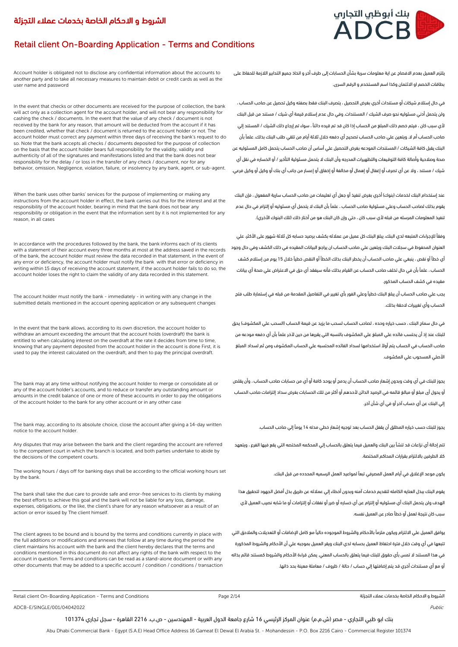

# Retail client On-Boarding Application - Terms and Conditions

Account holder is obligated not to disclose any confidential information about the accounts to another party and to take all necessary measures to maintain debit or credit cards as well as the user name and password

In the event that checks or other documents are received for the purpose of collection, the bank will act only as a collection agent for the account holder, and will not bear any responsibility for cashing the check / documents. In the event that the value of any check / document is not received by the bank for any reason, that amount will be deducted from the account if it has been credited, whether that check / document is returned to the account holder or not. The account holder must correct any payment within three days of receiving the bank's request to do so. Note that the bank accepts all checks / documents deposited for the purpose of collection on the basis that the account holder bears full responsibility for the validity, validity and authenticity of all of the signatures and manifestations listed and that the bank does not bear responsibility for the delay / or loss in the transfer of any check / document, nor for any behavior, omission, Negligence, violation, failure, or insolvency by any bank, agent, or sub-agent.

When the bank uses other banks' services for the purpose of implementing or making any instructions from the account holder in effect, the bank carries out this for the interest and at the responsibility of the account holder, bearing in mind that the bank does not bear any responsibility or obligation in the event that the information sent by it is not implemented for any reason, in all cases

In accordance with the procedures followed by the bank, the bank informs each of its clients with a statement of their account every three months at most at the address saved in the records of the bank, the account holder must review the data recorded in that statement, in the event of any error or deficiency, the account holder must notify the bank with that error or deficiency in writing within 15 days of receiving the account statement, if the account holder fails to do so, the account holder loses the right to claim the validity of any data recorded in this statement.

The account holder must notify the bank - immediately - in writing with any change in the submitted details mentioned in the account opening application or any subsequent changes

In the event that the bank allows, according to its own discretion, the account holder to withdraw an amount exceeding the amount that the account holds (overdraft) the bank is entitled to when calculating interest on the overdraft at the rate it decides from time to time knowing that any payment deposited from the account holder in the account is done First, it is used to pay the interest calculated on the overdraft, and then to pay the principal overdraft.

The bank may at any time without notifying the account holder to merge or consolidate all or any of the account holder's accounts, and to reduce or transfer any outstanding amount or amounts in the credit balance of one or more of these accounts in order to pay the obligations of the account holder to the bank for any other account or in any other case

The bank may, according to its absolute choice, close the account after giving a 14-day written notice to the account holder.

Any disputes that may arise between the bank and the client regarding the account are referred to the competent court in which the branch is located, and both parties undertake to abide by the decisions of the competent courts.

The working hours / days off for banking days shall be according to the official working hours set by the bank.

The bank shall take the due care to provide safe and error-free services to its clients by making the best efforts to achieve this goal and the bank will not be liable for any loss, damage, expenses, obligations, or the like, the client's share for any reason whatsoever as a result of an action or error issued by The client himself.

The client agrees to be bound and is bound by the terms and conditions currently in place with the full additions or modifications and annexes that follow at any time during the period the client maintains his account with the bank and the client hereby declares that the terms and conditions mentioned in this document do not affect any rights of the bank with respect to the account in question. Terms and conditions can be read as a stand-alone document or with any other documents that may be added to a specific account / condition / conditions / transaction يلتزم العميل بعدم االفصاح عن اية معلومات سرية بشأن الحسابات إلى طرف أخر و اتخاذ جميع التدابير الالزمة للحفاظ على بطاقات الخصم او االئتمان وكذا اسم المستخدم و الرقم السرى.

في حال إستالم شيكات أو مستندات أخري بغرض التحصيل ، يتصرف البنك فقط بصفته وكيل تحصيل عن صاحب الحساب ، ولن يتحمل أدني مسئوليه نحو صرف الشيك / المستندات. وفي حال عدم إستالم قيمة أي شيك / مستند من قبل البنك ألي سبب كان ، فيتم خصم ذلك المبلغ من الحساب إذا كان قد تم قيده دائنًا ، سواء تم إرجاع ذلك الشيك / المستند إلي صاحب الحساب أم ال. ويتعين علي صاحب الحساب تصحيح أي دفعه خالل ثالثة أيام من تلقي طلب البنك بذلك. علمًا بأن البنك يقبل كافة الشيكات / المستندات المودعه بغرض التحصيل علي أساس أن صاحب الحساب يتحمل كامل المسئوليه عن صحة وصالحية وأصالة كافة التوقيعات والتظهيرات المدرجه وأن البنك ال يتحمل مسئولية التأخير / أو الخساره في نقل أي شيك / مستند ، وال عن أي تصرف أو إغفال أو إهمال أو مخالفة أو إخفاق أو إعسار من جانب أي بنك أو وكيل أو وكيل فرعي.

عند إستخدام البنك لخدمات (بنوك) أخري بغرض تنفيذ أو جعل أي تعليمات من صاحب الحساب سارية المفعول ، فإن البنك يقوم بذلك لصاحب الحساب وعلي مسئولية صاحب الحساب ، علمًا بأن البنك ال يتحمل أي مسئوليه أو إلتزام في حال عدم تنفيذ المعلومات المرسله من قبله لأي سبب كان ، حتي وإن كان البنك هو من أختار ذلك (تلك البنوك الأخري).

وفقًا لإلجراءات المتبعه لدي البنك، يبلغ البنك كل عميل من عمالئه بكشف برصيد حسابه كل ثالثة شهور على األكثر، علي العنوان المحفوظ في سجالت البنك ويتعين علي صاحب الحساب ان يراجع البيانات المقيده في ذلك الكشف وفي حال وجود أي خطأ أو نقص ، ينبغي علي صاحب الحساب أن يخطر البنك بذلك الخطأ أو النقص خطيًا خالل 15 يوم من إستالم كشف الحساب ، علمًا بأن في حال تخلف صاحب الحساب عن القيام بذلك فأنه سيفقد أي حق في االعتراض علي صحة أي بيانات مقيده في كشف الحساب المذكور.

يجب علي صاحب الحساب أن يبلغ البنك خطيًا وعلي الفور بأي تغيير في التفاصيل المقدمة من قبله في إستمارة طلب فتح الحساب وأي تغييرات الحقة بذلك.

في حال سماح البنك ، حسب خياره وحده ، لصاحب الحساب لسحب ما يزيد عن قيمة الحساب (السحب علي المكشوف) يحق للبنك عند إذ أن يحتسب فائده علي المبلغ علي المكشوف بالنسبه التي يقررها من حين آلخر علمًا بأن أي دفعه مودعه من صاحب الحساب في الحساب يتم أوًال استخدامها لسداد الفائده المحتسبه علي الحساب المكشوف ومن ثم لسداد المبلغ األصلي المسحوب علي المكشوف.

يجوز للبنك في أي وقت وبدون إشعار صاحب الحساب أن يدمج أو يوحد كافة أو أي من حسابات صاحب الحساب ، وأن يقلص أو يحول أى مبلغ أو مبالغ قائمه في الرصيد الدائن ألحدهم أو أكثر من تلك الحسابات بغرض سداد إلتزامات صاحب الحساب إلي البنك عن أي حساب آخر أو في أي شأن آخر.

يجوز للبنك حسب خياره المطلق أن يقفل الحساب بعد توجيه إشعار خطي مدته 14 يومًا إلي صاحب الحساب.

تتم إحالة أي نزاعات قد تنشأ بين البنك والعميل فيما يتعلق بالحساب إلي المحكمه المختصه التي يقع فيها الفرع ، ويتعهد كال الطرفين بااللتزام بقرارات المحاكم المختصة.

يكون موعد اإلغالق في أيام العمل المصرفي تبعًا لمواعيد العمل الرسميه المحدده من قبل البنك.

يقوم البنك ببذل العنايه الكامله لتقديم خدمات آمنه وبدون أخطاء إلي عمالئه عن طريق بذل أفضل الجهود لتحقيق هذا الهدف ولن يتحمل البنك أي مسئوليه أو إلتزام عن أي خساره أو ضرر أو نفقات أو إلتزامات أو ما شابه نصيب العميل ألي سبب كان نتيجة لعمل أو خطأ صادر عن العميل نفسه.

يوافق العميل علي االلتزام ويكون ملزمًا باألحكام والشروط الموجوده حاليًا مع كامل اإلضافات أو التعديالت والمالحق التي تتبعها في أي وقت خالل فترة احتفاظ العميل بحسابه لدي البنك ويقر العميل بموجبه علي أن األحكام والشروط المذكورة في هذا المستند ال تمس بأي حقوق للبنك فيما يتعلق بالحساب المعني. يمكن قراءة األحكام والشروط كمستند قائم بذاته أو مع أي مستندات أخري قد يتم إضافتها إلي حساب / حالة / ظروف / معاملة معينة بحد ذاتها.

Page 2/14

ADCB-E/SINGLE/001/04042022 Public Research of the control of the control of the control of the control of the control of the control of the control of the control of the control of the control of the control of the control

بنك ابو ظبي التجاري - مصر (ش.م.م) عنوان المركز الرئيسي 16 شارع جامعة الدول العربية - المهندسين - ص.ب. 2216 القاهرة - سجل تجاري 101374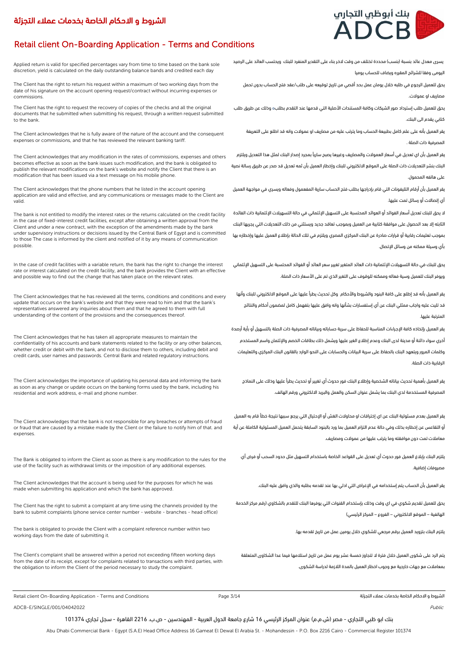# Retail client On-Boarding Application - Terms and Conditions

Applied return is valid for specified percentages vary from time to time based on the bank sole discretion, yield is calculated on the daily outstanding balance bands and credited each day

The Client has the right to return his request within a maximum of two working days from the date of his signature on the account opening request/contract without incurring expenses or commissions.

The Client has the right to request the recovery of copies of the checks and all the original documents that he submitted when submitting his request, through a written request submitted to the bank.

The Client acknowledges that he is fully aware of the nature of the account and the consequent expenses or commissions, and that he has reviewed the relevant banking tariff.

The Client acknowledges that any modification in the rates of commissions, expenses and others becomes effective as soon as the bank issues such modification, and the bank is obligated to publish the relevant modifications on the bank's website and notify the Client that there is an modification that has been issued via a text message on his mobile phone.

The Client acknowledges that the phone numbers that he listed in the account opening application are valid and effective, and any communications or messages made to the Client are valid.

The bank is not entitled to modify the interest rates or the returns calculated on the credit facility in the case of fixed-interest credit facilities, except after obtaining a written approval from the Client and under a new contract, with the exception of the amendments made by the bank under supervisory instructions or decisions issued by the Central Bank of Egypt and is committed to those The case is informed by the client and notified of it by any means of communication possible.

In the case of credit facilities with a variable return, the bank has the right to change the interest rate or interest calculated on the credit facility, and the bank provides the Client with an effective and possible way to find out the change that has taken place on the relevant rates.

The Client acknowledges that he has reviewed all the terms, conditions and conditions and every update that occurs on the bank's website and that they were read to him and that the bank's representatives answered any inquiries about them and that he agreed to them with full understanding of the content of the provisions and the consequences thereof.

The Client acknowledges that he has taken all appropriate measures to maintain the confidentiality of his accounts and bank statements related to the facility or any other balances, whether credit or debit with the bank, and not to disclose them to others, including debit and credit cards, user names and passwords. Central Bank and related regulatory instructions.

The Client acknowledges the importance of updating his personal data and informing the bank as soon as any change or update occurs on the banking forms used by the bank, including his residential and work address, e-mail and phone number.

The Client acknowledges that the bank is not responsible for any breaches or attempts of fraud or fraud that are caused by a mistake made by the Client or the failure to notify him of that. and expenses.

The Bank is obligated to inform the Client as soon as there is any modification to the rules for the use of the facility such as withdrawal limits or the imposition of any additional expenses.

The Client acknowledges that the account is being used for the purposes for which he was made when submitting his application and which the bank has approved.

The Client has the right to submit a complaint at any time using the channels provided by the bank to submit complaints (phone service center number - website - branches - head office)

The bank is obligated to provide the Client with a complaint reference number within two working days from the date of submitting it.

The Client's complaint shall be answered within a period not exceeding fifteen working days from the date of its receipt, except for complaints related to transactions with third parties, with the obligation to inform the Client of the period necessary to study the complaint.



يسرى معدل عائد بنسبة )بنسب( محددة تختلف من وقت الخر بناء على التقدير المنفرد للبنك ويحتسب العائد على الرصيد اليومى وفقا للشرائح المقرره ويضاف للحساب يوميا

يحق للعميل الرجوع في طلبه خالل يومان عمل بحد أقصي من تاريخ توقيعه على طلب/عقد فتح الحساب بدون تحمل مصاريف او عموالت.

يحق للعميل طلب إسترداد صور الشيكات وكافة المستندات األصلية التي قدمها عند التقدم بطلبه وذلك عن طريق طلب كتابي يقدم الى البنك.

يقر العميل بأنه على علم كامل بطبيعة الحساب وما يترتب عليه من مصاريف او عموالت وانه قد اطلع على التعريفة المصرفية ذات الصلة .

يقر العميل بأن اي تعديل في أسعار العموالت والمصاريف وغيرها يصبح ساريًا بمجرد إصدار البنك لمثل هذا التعديل ويلتزم البنك بنشر التعديالت ذات الصلة على الموقع االلكتروني للبنك وإخطار العميل بأن ثمه تعديل قد صدر عن طريق رسالة نصية على هاتفه المحمول.

يقر العميل بأن أرقام التليفونات التي قام بإدراجها بطلب فتح الحساب سارية المفعمول وفعاله ويسري في مواجهة العميل أي إتصاالت أو رسائل تمت عليها.

ال يحق للبنك تعديل أسعار الفوائد أو العوائد المحتسبة على التسهيل اإلئتماني في حالة التسهيالت اإلئتمانية ذات الفائدة الثابته إال بعد الحصول على موافقة كتابية من العميل وبموجب تعاقد جديد ويستثني من ذلك التعديالت التي يجريها البنك بموجب تعليمات رقابية أو قرارات صادرة عن البنك المركزي المصري ويلتزم في تلك الحالة بإطالع العميل عليها وإخطاره بها بأي وسيلة ممكنه من وسائل اإلتصال.

يحق للبنك في حالة التسهيالت اإلئتمانية ذات العائد المتغير تغيير سعر العائد أو الفوائد المحتسبة على التسهيل اإلئتماني ويوفر البنك للعميل وسية فعاله وممكنه للوقوف على التغير الذي تم على األسعار ذات الصلة.

يقر العميل بأنه قد إطلع على كافة البنود والشروط والأحكام وكل تحديث يطرأ عليها على الموقع الالكتروني للبنك وأنها قد تليت عليه واجاب ممثلي البنك عن أي إستفسارات بشأنها وانه وافق عليها بتفهمل كامل لمضمون أحكام والنتائج المترتبة عليها.

يقر العميل بإتخاذه كافة اإلجراءات المناسبة للحفاظ على سرية حساباته وبياناته المصرفية ذات الصلة بالتسهيل أو بأية أرصدة أخري سواء دائنة أو مدينة لدى البنك وعدم إطالع الغير عليها ويشمل ذلك بطاقات الخصم واإلئتمان واسم المستخدم وكلمات المرور ويتعهد البنك بالحفاظ على سرية البيانات والحسابات على النحو الوارد بالقانون البنك المركزي والتعليمات الرقابية ذات الصلة.

يقر العميل بأهمية تحديث بياناته الشخصية وإطالع البنك فور حدوث أي تغيير أو تحديث يطرأ عليها وذلك على النماذج المصرفية المستخدمة لدي البنك بما يشمل عنوان السكن والعمل والبريد االلكتروني ورقم الهاتف.

يقر العميل بعدم مسئولية البنك عن اي إختراقات او محاوالت الغش أو اإلحتيال التي يرجع سببها نتيجة خطأ قام به العميل أو التقاعس عن إخطاره بذلك وفي حالة عدم التزام العميل بما ورد بالبنود السابقة يتحمل العميل المسئولية الكاملة عن أية معامالت تمت دون موافقته وما يترتب عليها من عموالت ومصاريف.

يلتزم البنك بإبالغ العميل فور حدوث أي تعديل على القواعد الخاصة باستخدام التسهيل مثل حدود السحب أو فرض أي .<br>مصروفات إضافية.

يقر العميل بأن الحساب يتم إستخدامه في اإلغراض التي ادلي بها عند تقدمه بطلبه والذي وافق عليه البنك.

يحق للعميل تقديم شكوي في اي وقت وذلك بإستخدام القنوات التي يوفرها البنك للتقدم بالشكاوي )رقم مركز الخدمة الهاتفية – الموقع الالكتروني – الفروع – المركز الرئيسي)

يلتزم البنك بتزويد العميل برقم مرجعي للشكوي خالل يومين عمل من تاريخ تقدمه بها.

يتم الرد على شكوى العميل خالل فترة ال تتجاوز خمسة عشر يوم عمل من تاريخ استالمها فيما عدا الشكاوى المتعلقة بمعامالت مع جهات خارجية مع وجوب اخطار العميل بالمدة الالزمة لدراسة الشكوى.

Retail client On-Boarding Application - Terms and Conditions Page 3/14 التجزئة عمالء بخدمات الخاصة االحكام و الشروط

ADCB-E/SINGLE/001/04042022 Public

بنك ابو ظبي التجاري - مصر (ش.م.م) عنوان المركز الرئيسي 16 شارع جامعة الدول العربية - المهندسين - ص.ب. 2216 القاهرة - سجل تجاري 101374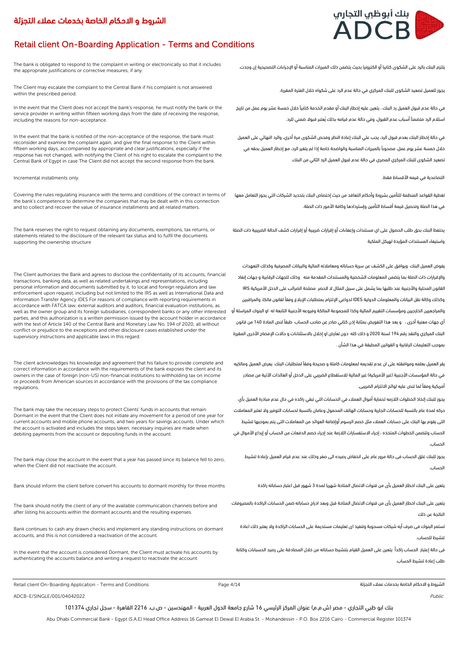# Retail client On-Boarding Application - Terms and Conditions

The bank is obligated to respond to the complaint in writing or electronically so that it includes the appropriate justifications or corrective measures, if any.

The Client may escalate the complaint to the Central Bank if his complaint is not answered within the prescribed period.

In the event that the Client does not accept the bank's response, he must notify the bank or the service provider in writing within fifteen working days from the date of receiving the response, including the reasons for non-acceptance.

In the event that the bank is notified of the non-acceptance of the response, the bank must reconsider and examine the complaint again, and give the final response to the Client within fifteen working days, accompanied by appropriate and clear justifications, especially if the response has not changed, with notifying the Client of his right to escalate the complaint to the Central Bank of Egypt in case The Client did not accept the second response from the bank.

### التصاعدية في قيمه الأقساط فقط. .<br>التصاعدية في قيمه الأقساط فقط.

Covering the rules regulating insurance with the terms and conditions of the contract in terms of the bank's competence to determine the companies that may be dealt with in this connection and to collect and recover the value of insurance installments and all related matters.

The bank reserves the right to request obtaining any documents, exemptions, tax returns, or statements related to the disclosure of the relevant tax status and to fulfil the documents supporting the ownership structure

The Client authorizes the Bank and agrees to disclose the confidentiality of its accounts, financial transactions, banking data, as well as related undertakings and representations, including personal information and documents submitted by it, to local and foreign regulators and law enforcement upon request, including but not limited to the IRS as well as International Data and Information Transfer Agency IDES For reasons of compliance with reporting requirements in accordance with FATCA law, external auditors and auditors, financial evaluation institutions, as well as the owner group and its foreign subsidiaries, correspondent banks or any other interested parties, and this authorization is a written permission issued by the account holder in accordance with the text of Article 140 of the Central Bank and Monetary Law No. 194 of 2020, all without conflict or prejudice to the exceptions and other disclosure cases established under the supervisory instructions and applicable laws in this regard.

The client acknowledges his knowledge and agreement that his failure to provide complete and correct information in accordance with the requirements of the bank exposes the client and its owners in the case of foreign (non-US) non-financial institutions to withholding tax on income or proceeds from American sources in accordance with the provisions of the tax compliance regulations.

The bank may take the necessary steps to protect Clients' funds in accounts that remain Dormant in the event that the Client does not initiate any movement for a period of one year for current accounts and mobile phone accounts, and two years for savings accounts. Under which the account is activated and includes the steps taken, necessary inquiries are made when debiting payments from the account or depositing funds in the account.

The bank may close the account in the event that a year has passed since its balance fell to zero, when the Client did not reactivate the account

يتعين على البنك اخطار العميل بأى من قنوات الاتصال المتاحة شهريا لمدة 3 شهور قبل اعتبار حساباته راكدة مستباته المدة المدين المتبار حساباته راكدة مستباته المدة على البنك اخطار العميل بأى من قنوات الاتصال المتاحة شهريا لمدة

The bank should notify the client of any of the available communication channels before and after listing his accounts within the dormant accounts and the resulting expenses.

Bank continues to cash any drawn checks and implement any standing instructions on dormant accounts, and this is not considered a reactivation of the account.

In the event that the account is considered Dormant, the Client must activate his accounts by authenticating the accounts balance and writing a request to reactivate the account.

يلتزم البنك بالرد على الشكوى كتابيا أو الكترونيا بحيث يتضمن ذلك المبررات المناسبة أو اإلجراءات التصحيحية إن وجدت.

يجوز للعميل تصعيد الشكوى للبنك المركزي في حالة عدم الرد على شكواه خالل الفترة المقررة.

في حالة عدم قبول العميل رد البنك ، يتعين عليه إخطار البنك أو مقدم الخدمة كتابيًا خالل خمسة عشر يوم عمل من تاريخ استالم الرد متضمنًا أسباب عدم القبول، وفي حالة عدم قيامه بذلك ُيعتبر قبوال ضمني للرد.

في حالة إخطار البنك بعدم قبول الرد، يجب علي البنك إعادة النظر وفحص الشكوى مرة أخري، والرد النهائي على العميل خالل خمسة عشر يوم عمل، مصحوبًا بالمبررات المناسبة والواضحة خاصة إذا لم يتغير الرد، مع إخطار العميل بحقه في تصعيد الشكوى للبنك المركزي المصري في حالة عدم قبول العميل الرد الثاني من البنك.

تغطية القواعد المنظمة للتأمين بشروط وأحكام التعاقد من حيث إختصاص البنك بتحديد الشركات التي يجوز التعامل معها في هذا الصلة وتحصيل قيمة أقساط التأمين وإستردادها وكافة األمور ذات الصلة.

يحتفظ البنك بحق طلب الحصول على اي مستندات وإعفاءات أو إقرارات ضريبية أو إقرارات كشف الحالة الضريبية ذات الصلة واستيفاء المستندات المؤيدة لهيكل الملكية

يفوض العميل البنك ويوافق على الكشف عن سرية حساباته ومعامالته المالية والبيانات المصرفية وكذلك التعهدات واإلقرارات ذات الصلة بما يتضمن المعلومات الشخصية والمستندات المقدمة منه وذلك للجهات الرقابية و جهات إنفاذ القانون المحلية واألجنبية عند طلبها بما يشمل على سبيل المثال ال الحصر مصلحة الضرائب على الدخل األمريكية IRS وكذلك وكالة نقل البيانات والمعلومات الدولية IDES لدواعي اإللتزام بمتطلبات اإلبالغ وفقًا لقانون فاتكا، والمراقبين والمراجعيين الخارجيين ومؤسسات التقييم المالية وكذا للمجموعة المالكة وفروعه األجنبية التابعة له او البنوك المراسلة أو أي جهات معنية أخرى ، و يعد هذا التفويض بمثابة إذن كتابي صادر عن صاحب الحساب طبقًا لنص المادة 140 من قانون البنك المركزي والنقد رقم 194 لسنة 2020 و ذلك كله دون تعارض او إخالل باالستثناءات و حاالت اإلفصاح األخرى المقررة بموجب التعليمات الرقابية و القوانين المطبقة في هذا الشأن .

يقر العميل بعلمه وموافقته على ان عدم تقديمه لمعلومات كاملة و صحيحة وفقآ لمتطلبات البنك يعرض العميل ومالكيه في حالة المؤسسات الأجنبية (غير الأمريكية) غير المالية للاستقطاع الضريبي على الدخل أو العائدات الآتية من مصادر أمريكية وفقًا لما تنص عليه لوائح االلتزام الضريبى.

يجوز للبنك إتخاذ الخطوات الالزمه لحماية أموال العمالء في الحسابات التي تبقي راكده في حال عدم مبادرة العميل بأي حركه لمدة عام بالنسبة للحسابات الجارية وحسابات الهاتف المحمول وعامان بالنسبة لحسابات التوفير وال تعتبر المعامالت التى يقوم بها البنك على حسابات العمالء مثل خصم الرسوم أوإضافة العوائد من المعامالت التى يتم بموجبها تنشيط الحساب وتتضمن الخطوات المتخذه ، إجراء االستفسارات الالزمة عند إجراء خصم الدفعات من الحساب أو إيداع األموال في الحساب.

يجوز للبنك غلق الحساب فى حالة مرور عام على انخفاض رصيده الى صفر وذلك عند عدم قيام العميل بإعادة تنشيط الحساب.

يتعين على البنك اخطار العميل بأى من قنوات االتصال المتاحة قبل وبعد ادراج حساباته ضمن الحسابات الراكدة بالمصروفات الناتجة عن ذلك

تستمر البنوك فى صرف أيه شيكات مسحوبة وتنفيذ اى تعليمات مستديمة على الحسابات الراكدة وال يعتبر ذلك اعادة تنشيط للحساب.

فى حالة إعتبار الحساب راكدٌا يتعين على العميل القيام بتنشيط حساباته من خالل المصادقة على رصيد الحسبابات وكتابة طلب إعادة تنشيط الحساب.

Retail client On-Boarding Application - Terms and Conditions Page 4/14 التجزئة عمالء بخدمات الخاصة االحكام و الشروط

ADCB-E/SINGLE/001/04042022 Public

بنك ابو ظبي التجاري - مصر (ش.م.م) عنوان المركز الرئيسي 16 شارع جامعة الدول العربية - المهندسين - ص.ب. 2216 القاهرة - سجل تجاري 101374

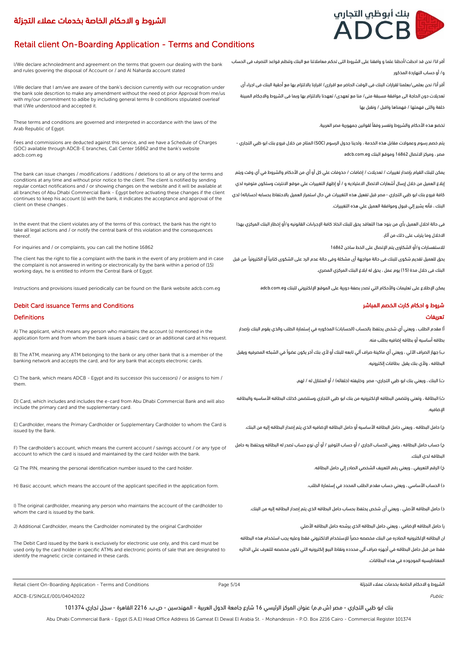

# Retail client On-Boarding Application - Terms and Conditions

I/We declare achnoledment and agreement on the terms that govern our dealing with the bank and rules govering the disposal of Account or / and Al Naharda account stated

I/We declare that I am/we are aware of the bank's decision currently with our recognation under the bank sole descrtion to make any amendment without the need ot prior Approval from me/us with my/our commitment to adibe by including general terms & conditions stipulated overleaf that I/We understood and accepted it.

These terms and conditions are governed and interpreted in accordance with the laws of the Arab Republic of Egypt.

Fees and commissions are deducted against this service, and we have a Schedule of Charges (SOC) available through ADCB-E branches, Call Center 16862 and the bank's website adcb.com.eg

The bank can issue changes / modifications / additions / deletions to all or any of the terms and conditions at any time and without prior notice to the client. The client is notified by sending regular contact notifications and / or showing changes on the website and it will be available at all branches of Abu Dhabi Commercial Bank - Egypt before activating these changes if the client continues to keep his account (s) with the bank, it indicates the acceptance and approval of the client on these changes .

In the event that the client violates any of the terms of this contract, the bank has the right to take all legal actions and / or notify the central bank of this violation and the consequences thereof.

For inquiries and / or complaints, you can call the hotline 16862 16862 ساخن الخط على اإلتصال يتم الشكاوى أو/و لالستفسارات

The client has the right to file a complaint with the bank in the event of any problem and in case the complaint is not answered in writing or electronically by the bank within a period of (15) working days, he is entitled to inform the Central Bank of Egypt.

Instructions and provisions issued periodically can be found on the Bank website adcb.com.eg مكن الإطلاع على تعليمات والأحكام التي تصدر بصفة دورية على الموقع الإلكتروني للبنك وadcb.com.eg من الإملاكات التي تصدر بصفة دورية

## شروط و احكام كارت الخصم المباشر Conditions and Conditions and Conditions and Conditions and Conditions and Con

### تعريفات Definitions

A) The applicant, which means any person who maintains the account (s) mentioned in the application form and from whom the bank issues a basic card or an additional card at his request.

B) The ATM, meaning any ATM belonging to the bank or any other bank that is a member of the banking network and accepts the card, and for any bank that accepts electronic cards.

C) The bank, which means ADCB - Favpt and its successor (his successors) / or assigns to him / them.

D) Card, which includes and includes the e-card from Abu Dhabi Commercial Bank and will also include the primary card and the supplementary card.

E) Cardholder, means the Primary Cardholder or Supplementary Cardholder to whom the Card is issued by the Bank.

F) The cardholder's account, which means the current account / savings account / or any type of account to which the card is issued and maintained by the card holder with the bank.

G) The PIN, meaning the personal identification number issued to the card holder. .البطاقه حامل إلي الصادر الشخصي التعريف رقم ويعني ، التعريفي الرقم( خ

H) Basic account, which means the account of the applicant specified in the application form.

I) The original cardholder, meaning any person who maintains the account of the cardholder to whom the card is issued by the bank.

ر( حامل البطاقه اإلضافي ، ويعني حامل البطاقه الذي يرشحه حامل البطاقه األصلي Cardholder original the by nominated Cardholder the means ,Cardholder Additional) J

The Debit Card issued by the bank is exclusively for electronic use only, and this card must be used only by the card holder in specific ATMs and electronic points of sale that are designated to identify the magnetic circle contained in these cards.

أقر انا/ نحن قد احطت/أحطنا علما و وافقنا على الشروط التى تحكم معامالتنا مع البنك وتنظم قواعد التصرف فى الحساب و/ أو حساب النهاردة المذكور

أقر أنا/ نحن بعلمى/بعلمنا لقرارات البنك فى الوقت الحاضر مع اقرارى/ اقرارنا بااللتزام بها مع أحقية البنك فى اجراء أى تعديالت دون الحاجة الى موافقة مسبقة منى/ منا مع تعهدى/ تعهدنا بااللتزام بها وبما فى الشروط واالجكام المبينة خلفة والتى فهمتها / فهمناها واقبل / ونقبل بها

تخضع هذه الأحكام والشروط وتفسر وفقاً لقوانين جمهورية مصر العربية.

يتم خصم رسوم وعموالت مقابل هذه الخدمة ، ولدينا جدول الرسوم )SOC )المتاح من خالل فروع بنك ابو ظبي التجاري - مصر ، ومركز االتصال 16862 وموقع البنك eg.com.adcb

يمكن للبنك القيام بإصدار تغييرات / تعديالت / إضافات / حذوفات علي كل أو أي من األحكام والشروط في أي وقت ويتم إبالغ العميل من خالل إرسال أشعارات االتصال االعتياديه و / أو إظهار التغييرات علي موقع االنترنت وستكون متوفره لدي كافة فروع بنك ابو ظبي التجاري - مصر قبل تفعيل هذه التغييرات في حال استمرار العميل بالاحتفاظ بحسابه (حساباته) لدي البنك ، فأنه يشير إلي قبول وموافقة العميل علي هذه التغييرات.

فى حالة اخالل العميل بأي من بنود هذا التعاقد يحق للبنك اتخاذ كافة اإلجراءات القانونيه و/أو إخطار البنك المركزي بهذا

االخالل وما يترتب على ذلك من آثار.

يحق للعميل تقديم شكوى للبنك فى حالة مواجهة أى مشكلة وفى حالة عدم الرد على الشكوى كتابيًا أو الكترونيًا من قبل البنك فى خلال مدة (15) يوم عمل ، يحق له ابلاغ البنك المركزي المصري.

أ) مقدم الطلب ، ويعني أي شخص يحتفظ بالحساب (الحسابات) المذكوره في إستمارة الطلب والذي يقوم البنك بإصدار بطاقه أساسيه أو بطاقه إضافيه بطلب منه.

ب) جهاز الصراف الآلي ، ويعني أي ماكينة صراف آلي تابعه للبنك أو لأي بنك آخر يكون عضواً في الشبكه المصرفيه ويقبل البطاقه ، وألي بنك يقبل بطاقات إلكترونيه.

ت) البنك ، ويعني بنك ابو ظبي التجاري- مصر وخليفته (خلفائه) / أو المتنازل له / لهم.

ث) البطاقة ، وتعني وتتضمن البطاقه الإلكترونيه من بنك ابو ظبي التجاري وستتضمن كذلك البطاقه الأساسيه والبطاقه اإلضافيه.

د) حامل البطاقه ، ويعني حامل البطاقه الأساسيه أو حامل البطاقه الإضافيه الذي يتم إصدار البطاقه إليه من البنك.

ح) حساب حامل البطاقه ، ويعني الحساب الجاري / أو حساب التوفير / أو أي نوع حساب تصدر له البطاقه ويحتفظ به حامل البطاقه لدي البنك.

د) الحساب الأساسي ، ويعني حساب مقدم الطلب المحدد في إستمارة الطلب.

ذ) حامل البطاقه الأصلي ، ويعني أى شخص يحتفظ بحساب حامل البطاقه الذي يتم إصدار البطاقه إليه من البنك.

ان البطاقه اإللكترونيه الصادره من البنك مخصصه حصرًا لإلستخدام االلكتروني فقط وعليه يجب استخدام هذه البطاقه فقط من قبل حامل البطاقه في أجهزه صراف آلي محدده ونقاط البيع إلكترونيه التي تكون مخصصه للتعرف علي الدائره

المغناطيسيه الموجوده في هذه البطاقات.

Retail client On-Boarding Application - Terms and Conditions Page 5/14 التجزئة عمالء بخدمات الخاصة االحكام و الشروط

 $\triangle$  ADCB-E/SINGLE/001/04042022 Public

بنك ابو ظبي التجاري - مصر (ش.م.م) عنوان المركز الرئيسي 16 شارع جامعة الدول العربية - المهندسين - ص.ب. 2216 القاهرة - سجل تجاري 101374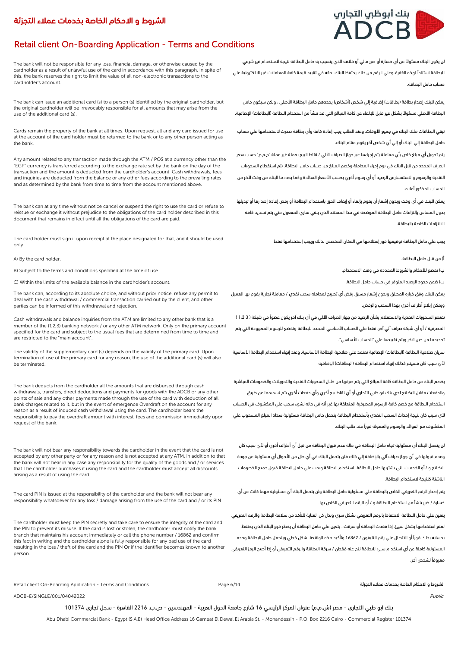# بنك أبوظبي التجارب ADCB

# Retail client On-Boarding Application - Terms and Conditions

The bank will not be responsible for any loss, financial damage, or otherwise caused by the cardholder as a result of unlawful use of the card in accordance with this paragraph. In spite of this, the bank reserves the right to limit the value of all non-electronic transactions to the cardholder's account.

The bank can issue an additional card (s) to a person (s) identified by the original cardholder, but the original cardholder will be irrevocably responsible for all amounts that may arise from the use of the additional card (s).

Cards remain the property of the bank at all times. Upon request, all and any card issued for use at the account of the card holder must be returned to the bank or to any other person acting as the bank.

Any amount related to any transaction made through the ATM / POS at a currency other than the "EGP" currency is transferred according to the exchange rate set by the bank on the day of the transaction and the amount is deducted from the cardholder's account. Cash withdrawals, fees and inquiries are deducted from the balance or any other fees according to the prevailing rates and as determined by the bank from time to time from the account mentioned above.

The bank can at any time without notice cancel or suspend the right to use the card or refuse to reissue or exchange it without prejudice to the obligations of the card holder described in this document that remains in effect until all the obligations of the card are paid.

The card holder must sign it upon receipt at the place designated for that, and it should be used only

أ( من قبل حامل البطاقة. .holder card the By) A

B) Subject to the terms and conditions specified at the time of use. .االستخدام وقت في المحددة والشروط لألحكام تخضع( ب

ت) ضمن حدود الرصيد المتوفر في حساب حامل البطاقة. البطاقة المتوفر في حساب حامل البطاقة المتوفر في حساب في المتو

The bank can, according to its absolute choice, and without prior notice, refuse any permit to deal with the cash withdrawal / commercial transaction carried out by the client, and other parties can be informed of this withdrawal and rejection.

Cash withdrawals and balance inquiries from the ATM are limited to any other bank that is a member of the (1,2,3) banking network / or any other ATM network. Only on the primary account specified for the card and subject to the usual fees that are determined from time to time and are restricted to the "main account".

The validity of the supplementary card (s) depends on the validity of the primary card. Upon termination of use of the primary card for any reason, the use of the additional card (s) will also be terminated.

The bank deducts from the cardholder all the amounts that are disbursed through cash withdrawals, transfers, direct deductions and payments for goods with the ADCB or any other points of sale and any other payments made through the use of the card with deduction of all bank charges related to it, but in the event of emergence Overdraft on the account for any reason as a result of induced cash withdrawal using the card. The cardholder bears the responsibility to pay the overdraft amount with interest, fees and commission immediately upon request of the bank.

The bank will not bear any responsibility towards the cardholder in the event that the card is not accepted by any other party or for any reason and is not accepted at any ATM, in addition to that the bank will not bear in any case any responsibility for the quality of the goods and / or services that The cardholder purchases it using the card and the cardholder must accept all discounts arising as a result of using the card.

The card PIN is issued at the responsibility of the cardholder and the bank will not bear any responsibility whatsoever for any loss / damage arising from the use of the card and / or its PIN

The cardholder must keep the PIN secretly and take care to ensure the integrity of the card and the PIN to prevent its misuse. If the card is lost or stolen, the cardholder must notify the bank branch that maintains his account immediately or call the phone number / 16862 and confirm this fact in writing and the cardholder alone is fully responsible for any bad use of the card resulting in the loss / theft of the card and the PIN Or if the identifier becomes known to another person.

لن يكون البنك مسئوًال عن أي خسارة أو ضرر مالي أو خالفه الذي يتسبب به حامل البطاقة نتيجة الستخدام غير شرعي للبطاقة استنادًا لهذه الفقرة. وعلي الرغم من ذلك يحتفظ البنك بحقه في تقييد قيمة كافة المعامالت غير االلكترونية علي حساب حامل البطاقة.

يمكن للبنك إصدار بطاقة (بطاقات) إضافية إلى شخص (أشخاص) يحددهم حامل البطاقة الأصلي ، ولكن سيكون حامل البطاقة الأصلي مسئولآ بشكل غير قابل للإلغاء عن كافة المبالغ التي قد تنشأ من استخدام البطاقة (البطاقات) الإضافية.

تبقي البطاقات ملك البنك في جميع األوقات. وعند الطلب يجب إعادة كافة وأي بطاقة صدرت الستخدامها علي حساب حامل البطاقة إلي البنك أو إلي أي شخص آخر يقوم مقام البنك.

يتم تحويل أي مبلغ خاص بأي معاملة يتم إجراءها عبر جهاز الصراف اآللي / نقاط البيع بعملة غير عملة "ج.م.ع" حسب سعر الصرف المحدد من قبل البنك في يوم إجراء المعاملة وخصم المبلغ من حساب حامل البطاقة. يتم استقطاع السحوبات النقدية والرسوم واالستفسارعن الرصيد أو أي رسوم أخري بحسب األسعار السائدة وكما يحددها البنك من وقت آلخر من الحساب المذكور أعاله.

يمكن للبنك في أي وقت وبدون إشعار أن يقوم بإلغاء أو إيقاف الحق باستخدام البطاقة أو رفض إعادة إصدارها أو تبديلها بدون المساس بإلتزامات حامل البطاقة الموضحة في هذا المستند الذي يبقي ساري المفعول حتي يتم تسديد كافة االلتزامات الخاصة بالبطاقة.

يجب علي حامل البطاقة توقيعها فور إستالمها في المكان المخصص لذلك ويجب إستخدامها فقط

يمكن للبنك وفق خياره المطلق وبدون إشعار مسبق رفض أي تصريح لمعامله سحب نقدي / معاملة تجارية يقوم بها العميل

ويمكن إبالغ أطراف أخري بهذا السحب والرفض.

تقتصر السحوبات النقدية واالستعالم بشأن الرصيد من جهاز الصراف اآللي في أي بنك آخر يكون عضوًا في شبكة ) 1،2،3 ( المصرفية / أو أي شبكة صراف آلي آخر. فقط علي الحساب األساسي المحدد للبطاقة وتخضع للرسوم المعهودة التي يتم تحديدها من حين آلخر ويتم تقييدها علي "الحساب األساسي".

سريان صلاحية البطاقة (البطاقات) الإضافية تعتمد على صلاحية البطاقة الأساسية. وعند إنهاء استخدام البطاقة الأساسية لأي سبب كان فسيتم كذلك إنهاء استخدام البطاقة (البطاقات) الاضافية.

يخصم البنك من حامل البطاقة كافة المبالغ التي يتم صرفها من خالل السحوبات النقدية والتحويالت والخصومات المباشرة والدفعات مقابل البضائع لدي بنك ابو ظبي التجاري أو أي نقاط بيع أخري وأي دفعات أخري يتم تسديدها عن طريق استخدام البطاقة مع خصم كافة الرسوم المصرفية المتعلقة بها غير أنه في حاله نشوء سحب علي المكشوف في الحساب ألي سبب كان نتيجة إحداث السحب النقدي بأستخدام البطاقة يتحمل حامل البطاقة مسئولية سداد المبلغ المسحوب علي المكشوف مع الفوائد والرسوم والعمولة فورًا عند طلب البنك.

لن يتحمل البنك أي مسئولية تجاه حامل البطاقة في حالة عدم قبول البطاقة من قبل أي أطراف أخري أو ألي سبب كان وعدم قبولها في أي جهاز صراف آلي باإلضافة إلي ذلك فلن يتحمل البنك في أي حال من األحوال أي مسئولية عن جودة البضائع و / أو الخدمات التي يشتريها حامل البطاقة باستخدام البطاقة ويجب علي حامل البطاقة قبول جميع الخصومات الناشئة كنتيجة الستخدام البطاقة.

يتم إصدار الرقم التعريفي الخاص بالبطاقة علي مسئولية حامل البطاقة ولن يتحمل البنك أي مسئولية مهما كانت عن أي خسارة / ضرر ينشأ من استخدام البطاقة و / أو الرقم التعريفي الخاص بها.

يتعين علي حامل البطاقة االحتفاظ بالرقم التعريفي بشكل سري وبذل كل العناية للتأكد من سالمة البطاقة والرقم التعريفي لمنع استخدامها بشكل سيئ. إذا فقدت البطاقة أو سرقت ، يتعين علي حامل البطاقة أن يخطر فرع البنك الذي يحتفظ بحسابه بذلك فورًا أو االتصال علي رقم التليفون / 16862 وتأكيد هذه الواقعة بشكل خطي ويتحمل حامل البطاقة وحده المسئولية كاملة عن أي استخدام سيئ للبطاقة نتج عنه فقدان / سرقة البطاقة والرقم التعريفي أو إذا أصبح الرمز التعريفي معروفًا لشخص آخر.

Retail client On-Boarding Application - Terms and Conditions Page 6/14 التجزئة عمالء بخدمات الخاصة االحكام و الشروط

ADCB-E/SINGLE/001/04042022 Public

بنك ابو ظبي التجاري - مصر (ش.م.م) عنوان المركز الرئيسي 16 شارع جامعة الدول العربية - المهندسين - ص.ب. 2216 القاهرة - سجل تجاري 101374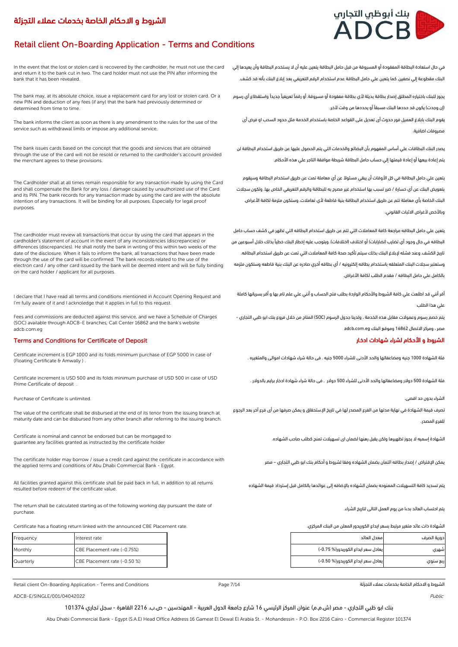# Retail client On-Boarding Application - Terms and Conditions

In the event that the lost or stolen card is recovered by the cardholder, he must not use the card and return it to the bank cut in two. The card holder must not use the PIN after informing the bank that it has been revealed.

The bank may, at its absolute choice, issue a replacement card for any lost or stolen card. Or a new PIN and deduction of any fees (if any) that the bank had previously determined or determined from time to time.

The bank informs the client as soon as there is any amendment to the rules for the use of the service such as withdrawal limits or impose any additional service.

The bank issues cards based on the concept that the goods and services that are obtained through the use of the card will not be resold or returned to the cardholder's account provided the merchant agrees to these provisions.

The Cardholder shall at all times remain responsible for any transaction made by using the Card and shall compensate the Bank for any loss / damage caused by unauthorized use of the Card and its PIN. The bank records for any transaction made by using the card are with the absolute intention of any transactions. It will be binding for all purposes. Especially for legal proof purposes.

The cardholder must review all transactions that occur by using the card that appears in the cardholder's statement of account in the event of any inconsistencies (discrepancies) or differences (discrepancies). He shall notify the bank in writing of this within two weeks of the date of the disclosure. When it fails to inform the bank, all transactions that have been made through the use of the card will be confirmed. The bank records related to the use of the electron card / any other card issued by the bank will be deemed intent and will be fully binding on the card holder / applicant for all purposes.

I declare that I have read all terms and conditions mentioned in Account Opening Request and I'm fully aware of it and I acknoledge that it applies in full to this request.

Fees and commissions are deducted against this service, and we have a Schedule of Charges (SOC) available through ADCB-E branches, Call Center 16862 and the bank's website adcb.com.eg

### Terms and Conditions for Certificate of Deposit ادخار شهادات لشراء األحكام و الشروط

Certificate increment is EGP 1000 and its folds minimum purchase of EGP 5000 in case of (Floating Certificate & Amwally ) .

Certificate increment is USD 500 and its folds minimum purchase of USD 500 in case of USD Prime Certificate of deposit

Purchase of Certificate is unlimited. .اقصى حد بدون الشراء

The value of the certificate shall be disbursed at the end of its tenor from the issuing branch at maturity date and can be disbursed from any other branch after referring to the issuing branch.

Certificate is nominal and cannot be endorsed but can be mortgaged to guarantee any facilities granted as instructed by the certificate holder

The certificate holder may borrow / issue a credit card against the certificate in accordance with the applied terms and conditions of Abu Dhabi Commercial Bank - Eqypt

All facilities granted against this certificate shall be paid back in full, in addition to all returns resulted before redeem of the certificate value.

The return shall be calculated starting as of the following working day pursuant the date of purchase.

الشهادة ذات عائد متغير مرتبط بسعر ايداع الكوريدور المعلن من البنك المركزي. . . . . . . . . . . . . . . . . . .<br>الشهادة ذات عائد متغير مرتبط بسعر ايداع الكوريدور المعلن من البنك المركزي. . . . . . . . . . . . . . . . . . .

| Frequency | Interest rate                |
|-----------|------------------------------|
| Monthly   | CBE Placement rate (-0.75%)  |
| Quarterly | CBE Placement rate (-0.50 %) |

Retail client On-Boarding Application - Terms and Conditions التجزئة عمالء بخدمات الخاصة االحكام و الشروط

 $\triangle$  ADCB-E/SINGLE/001/04042022 Public

بنك ابو ظبي التجاري - مصر (ش.م.م) عنوان المركز الرئيسي 16 شارع جامعة الدول العربية - المهندسين - ص.ب. 2216 القاهرة - سجل تجاري 101374

Page 7/14

Abu Dhabi Commercial Bank - Egypt (S.A.E) Head Office Address 16 Gameat El Dewal El Arabia St. - Mohandessin - P.O. Box 2216 Cairo - Commercial Register 101374



في حال استعادة البطاقة المفقودة أو المسروقة من قبل حامل البطاقة يتعين عليه أن ال يستخدم البطاقة وأن يعيدها إلي البنك مقطوعة إلي نصفين. كما يتعين علي حامل البطاقة عدم استخدام الرقم التعريفي بعد إبالغ البنك بأنه قد كشف.

يجوز للبنك باختياره المطلق إصدار بطاقة بديلة ألي بطاقة مفقودة أو مسروقة. أو رقمًا تعريفيًا جديدًا واستقطاع أي رسوم (إن وجدت) يكون قد حددها البنك مسبقآ أو يحددها من وقت لآخر.

يقوم البنك بابالغ العميل فور حدوث أى تعديل على القواعد الخاصة باستخدام الخدمة مثل حدود السحب او فرض أى مصروفات اضافية.

يصدر البنك البطاقات علي أساس المفهوم بأن البضائع والخدمات التي يتم الحصول عليها عن طريق استخدام البطاقة لن يتم إعادة بيعها أو إعادة قيمتها إلي حساب حامل البطاقة شريطة موافقة التاجر علي هذه األحكام.

يتعين علي حامل البطاقة في كل الأوقات أن يبقي مسئولآ عن أي معاملة تمت عن طريق استخدام البطاقة وسيقوم بتعويض البنك عن أي خسارة / ضرر تسبب بها استخدام غير مصرح به للبطاقة والرقم التعريفي الخاص بها. وتكون سجالت البنك الخاصة بأي معاملة تتم عن طريق استخدام البطاقة بنية قاطعة لأي تعاملات. وستكون ملزمة لكافة الأغراض. وبالأخص لأغراض الاثبات القانوني.

يتعين علي حامل البطاقه مراجعة كافة المعامالت التي تتم عن طريق استخدام البطاقه التي تظهر في كشف حساب حامل البطاقه في حال وجود أي تضارب (تضارابات) أو اختلاف (اختلافات). ويتوجب عليه إخطار البنك خطيآ بذلك خلال أسبوعين من تاريخ الكشف. وعند فشله إلبالغ البنك بذلك سيتم تأكيد صحة كافة المعامالت التي تمت عن طريق استخدام البطاقه. وستعتبر سجالت البنك المتعلقه باستخدام بطاقه إلكترونيه / أي بطاقه أخري صادره عن البنك بنية قاطعه وستكون ملزمه بالكامل علي حامل البطاقه / مقدم الطلب لكافة األغراض.

أقر أنني قد اطلعت علي كافة الشروط واألحكام الواردة بطلب فتح الحساب و أنني علي علم تام بها و أقر بسريانها كاملة علي هذا الطلب

يتم خصم رسوم وعموالت مقابل هذه الخدمة ، ولدينا جدول الرسوم )SOC )المتاح من خالل فروع بنك ابو ظبي التجاري - مصر ، ومركز االتصال 16862 وموقع البنك eg.com.adcb

فئة الشهادة 1000 جنيه ومضاعفاتها والحد األدنى للشراء 5000 جنيه . فى حالة شراء شهادات اموالى والمتغيره .

فئة الشهادة 500 دوالر ومضاعفاتها والحد األدنى للشراء 500 دوالر . فى حالة شراء شهادة ادخار برايم بالدوالر .

تصرف قيمة الشهادة في نهاية مدتها من الفرع المصدر لها في تاريخ اإلستحقاق و يمكن صرفها من أى فرع آخر بعد الرجوع للفرع المصدر.

الشهادة إسميه ال يجوز تظهيرها ولكن يقبل رهنها لضمان اى تسهيالت تمنح كطلب صاحب الشهاده.

يمكن اإلقتراض / إصدار بطاقه ائتمان بضمان الشهاده وفقا لشروط و أحكام بنك ابو ظبي التجاري – مصر

يتم تسديد كافة التسهيالت الممنوحه بضمان الشهاده باإلضافه إلى عوائدها بالكامل قبل إسترداد قيمة الشهاده

يتم احتساب العائد بدءا من يوم العمل التالى لتاريخ الشراء.

| Frequency | Interest rate                | معدل العائد                        | دورية الصرف |
|-----------|------------------------------|------------------------------------|-------------|
| Monthly   | CBE Placement rate (-0.75%)  | يعادل سعر ايداع الكوريدور(% 0.75-) | شهری        |
| Quarterly | CBE Placement rate (-0.50 %) | يعادل سعر ايداع الكوريدور(% 0.50-) | ربع سنوی    |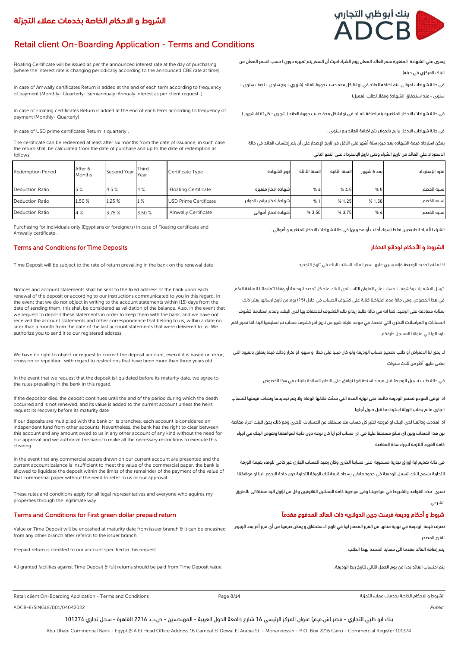# Retail client On-Boarding Application - Terms and Conditions

Floating Certificate will be issued as per the announced interest rate at the day of purchasing (where the interest rate is changing periodically according to the announced CBE rate at time).

In case of Amwally certificates Return is added at the end of each term according to frequency of payment (Monthly- Quarterly- Semiannualy-Annualy interest as per client request ).

In case of Floating certificates Return is added at the end of each term according to frequency of payment (Monthly- Quarterly) .

The certificate can be redeemed at least after six months from the date of issuance, in such case the return shall be calculated from the date of purchase and up to the date of redemption as follows

البنك المركزي في حينه)

فى حالة شهادات اموالى يتم اضافه العائد في نهاية كل مده حسب دورية العائد (شهري - ربع سنوى - نصف سنوى -

سنوى - عند استحقاق الشهادة وفقآل لطلب العميل(

بارسالها الي عنواننا المسجل طرفكم .

مضى عليها أكثر من ثالث سنوات

الجاري مالم يطلب الورثة استردادها قبل حلول أجلها

كافة القيود الالزمة الجراء هذة المقاصة

فى حالة شهادات االدخار المتغييره يتم اضافة العائد فى نهاية كل مدة حسب دورية العائد ) شهرى - كل ثالثة شهور (

فى حالة شهادات االدخار برايم بالدوالر يتم اضافة العائد ربع سنوى . . quarterly is Return certificates prime USD of case In

يمكن استرداد قيمة الشهاده بعد مرور ستة أشهر على الأقل من تاريخ الإصدار على أن يتم إحتساب العائد في حالة

االسترداد علي العائد من تاريخ الشراء وحتى تاريخ اإلسترداد على النحو التالي

| <b>Redemption Period</b> | After 6<br><b>Months</b> | Second Year Year | Third  | Certificate Type            | نوع الشهادة                | السنة الثالثة | السنة الثانية | بعد 6 شهور | فتره الإسترداد |
|--------------------------|--------------------------|------------------|--------|-----------------------------|----------------------------|---------------|---------------|------------|----------------|
| Deduction Ratio          | 5%                       | 4.5%             | 4%     | <b>Floating Certificate</b> | شهادة ادخار متغىره         | %4            | %4.5          | %5         | نسبه الخصم     |
| Deduction Ratio          | 1.50 %                   | 1.25%            | 1%     | USD Prime Certificate       | شهادة ادخار برايم بالدولار | %1            | % 1.25        | % 1.50     | نسبه الخصم     |
| Deduction Ratio          | 4%                       | 3.75 %           | 3.50 % | Amwally Certificate         | شهادة ادخار أموالى         | % 3.50        | % 3.75        | %4         | نسبه الخصم     |

Purchasing for individuals only (Egyptians or foreigners) in case of Floating certificate and Amwally certificate .

## Terms and Conditions for Time Deposits االدخار لودائع األحكام و الشروط

.<br>اذا ما تم تحديد الوديعة فإنه يسري عليها سعر العائد السائد بالبنك في تاريخ التجديد العائد البنك في تاريخ التجديد

Notices and account statements shall be sent to the fixed address of the bank upon each renewal of the deposit or according to our instructions communicated to you in this regard. In the event that we do not object in writing to the account statements within (15) days from the date of sending them, this shall be considered as validation of the balance. Also, in the event that we request to deposit these statements in order to keep them with the bank, and we have not received the account statements and other correspondence that belong to us, within a date no later than a month from the date of the last account statements that were delivered to us. We authorize you to send it to our registered address.

We have no right to object or request to correct the deposit account, even if it is based on error, omission or repetition, with regard to restrictions that have been more than three years old.

In the event that we request that the deposit is liquidated before its maturity date, we agree to the rules prevailing in the bank in this regard.

If the depositor dies, the deposit continues until the end of the period during which the death occurred and is not renewed, and its value is added to the current account unless the heirs request its recovery before its maturity date

If our deposits are multiplied with the bank or its branches, each account is considered an independent fund from other accounts. Nevertheless, the bank has the right to clear between this account and any amount owed to us in any other account of any kind without the need for our approval and we authorize the bank to make all the necessary restrictions to execute this clearing

In the event that any commercial papers drawn on our current account are presented and the current account balance is insufficient to meet the value of the commercial paper, the bank is allowed to liquidate the deposit within the limits of the remainder of the payment of the value of that commercial paper without the need to refer to us or our approval.

These rules and conditions apply for all legal representatives and everyone who aquires my properties through the legitimate way.

### شروط و أحكام وديعة فرست جرين الدولاريه ذات العائد المدفوع مقدمآ مقدمات rerms and Conditions for First green dollar prepaid return والحكام وديعة فرست جرين الدولاريه ذات العائد المدفوع مقدمآ

Value or Time Deposit will be encashed at maturity date from issuer branch & it can be encashed from any other branch after referral to the issuer branch.

Prepaid return is credited to our account specified in this request

All granted facilities against Time Deposit & full returns should be paid from Time Deposit value. .الوديعة ربط لتاريخ التالي العمل يوم من بدءا العائد احتساب يتم

الشروط و االحكام الخاصة بخدمات عمالء التجزئة

يتم إضافة العائد مقدما الى حسابنا المحدد بهذا الطلب

للفرع المصدر

الشرعي

ADCB-E/SINGLE/001/04042022 Public Public Public Public Public Public Public Public Public Public Public Public Public Public Public Public Public Public Public Public Public Public Public Public Public Public Public Public

بنك ابو ظبي التجاري - مصر (ش.م.م) عنوان المركز الرئيسي 16 شارع جامعة الدول العربية - المهندسين - ص.ب. 2216 القاهرة - سجل تجاري 101374

Abu Dhabi Commercial Bank - Egypt (S.A.E) Head Office Address 16 Gameat El Dewal El Arabia St. - Mohandessin - P.O. Box 2216 Cairo - Commercial Register 101374

يسرى علي الشهادة المتغيرة سعر العائد المعلن يوم الشراء )حيث أن السعر يتم تغييره دوري ا حسب السعر المعلن من

الشراء للأفراد الطبيعيين فقط (سواء أجانب أو مصريين) فى حالة شهادات الادخار المتغيره و أموالى .

ترسل االشعارات وكشوف الحساب على العنوان الثابت لدى البنك عند كل تجديد للوديعة أو وفقا لتعليماتنا المبلغة اليكم في هذا الخصوص. وفى حالة عدم اعتراضنا كتابة على كشوف الحساب في خالل )15( يوم من تاريخ ارسالها يعتبر ذلك بمثابة مصادقة على الرصيد. كما انه في حالة طلبنا إيداع تلك الكشوف لالحتفاظ بها لدى البنك، وعدم استالمنا كشوف الحسابات و المراسالت االخري التي تخصنا، في موعد غايتة شهر من تاريخ اخر كشوف حساب تم تسليمها الينا. اننا نصرح لكم

ال يحق لنا االعتراض أو طلب تصحيح حساب الوديعة ولو كان مبنيا على خطا او سهو او تكرار وذلك فيما يتعلق بالقيود التي

اذا توفى المودع تستمر الوديعة قائمة حتى نهاية المدة التي حدثت خاللها الوفاة وال يتم تجديدها وتضاف قيمتها للحساب

اذا تعددت ودائعنا لدى البنك او فروعه اعتبر كل حساب مال مستقال عن الحسابات األخرى ومع ذلك يحق للبنك اجراء مقاصة بين هذا الحساب وبين اي مبلغ مستحقا علينا في اي حساب اخر ايا كان نوعه دون حاجة لموافقتنا وتفوض البنك في اجراء

فى حالة تقديم اية اوراق تجارية مسحوبة على حسابنا الجارى وكان رصيد الحساب الجاري غير كافي للوفاء بقيمة الورقة التجارية يسمح للبنك تسيبل الوديعة في حدود مابقی پسداد قيمة تلك الورقة التجارية دون حاجة الرجوع الينا او موافقتنا

تصرف قيمة الوديعة في نهاية مدتها من الفرع المصدر لها في تاريخ االستحقاق و يمكن صرفها من أي فرع أخر بعد الرجوع

تسري هذه القواعد والشروط في مواجهتنا وفى مواجهة كافة الممثلين القانونيين وكل من تؤول اليه ممتلكاتی بالطريق

في حالة طلب تسييل الوديعة قبل ميعاد استحقاقها نوافق على النظم السائدة بالبنك في هذا الخصوص



Retail client On-Boarding Application - Terms and Conditions **Page 8/14** Page 8/14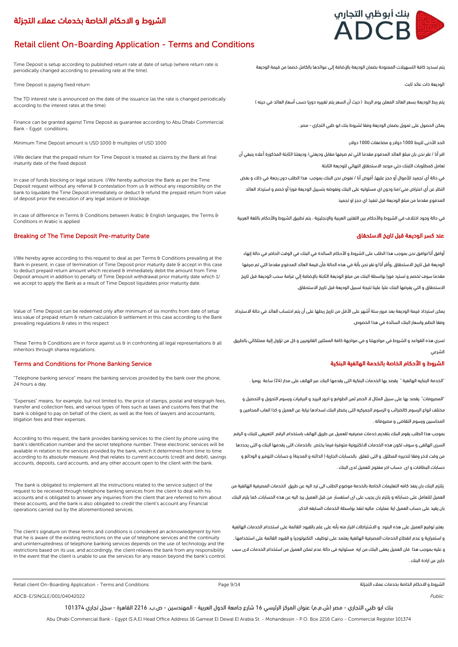## Retail client On-Boarding Application - Terms and Conditions

Time Deposit is setup according to published return rate at date of setup (where return rate is periodically changed according to prevailing rate at the time).

Time Deposit is paying fixed return

The TD interest rate is announced on the date of the issuance (as the rate is changed periodically according to the interest rates at the time)

Finance can be granted against Time Deposit as guarantee according to Abu Dhabi Commercial Bank - Egypt conditions.

Minimum Time Deposit amount is USD 1000 & multiples of USD 1000

I/We declare that the prepaid return for Time Deposit is treated as claims by the Bank all final maturity date of the fixed deposit

In case of funds blocking or legal seizure. I/We hereby authorize the Bank as per the Time Deposit request without any referral & contestation from us & without any responsibility on the bank to liquidate the Time Deposit immediately or deduct & refund the prepaid return from value of deposit prior the execution of any legal seizure or blockage.

In case of difference in Terms & Conditions between Arabic & English languages, the Terms & Conditions in Arabic is applied

### Breaking of The Time Deposit Pre-maturity Date االستحقاق تاريخ قبل الوديعة كسر عند

I/We hereby agree according to this request to deal as per Terms & Conditions prevailing at the Bank in present, in case of termination of Time Deposit prior maturity date & accept in this case to deduct prepaid return amount which received & immediately debit the amount from Time Deposit amount in addition to penalty of Time Deposit withdrawal prior maturity date which 1/ we accept to apply the Bank as a result of Time Deposit liquidates prior maturity date.

Value of Time Deposit can be redeemed only after minimum of six months from date of setup less value of prepaid return & return calculation & settlement in this case according to the Bank prevailing regulations & rates in this respect

These Terms & Conditions are in force against us  $\theta$  in confronting all legal representations  $\theta$  all inheritors through sharea regulations.

## الشروط و الأحكام الخاصة بالخدمة الهاتفية البنكية المستخدمة الهاتفية البنكية البنكية المستخدمة الهاتفية البنكية

"Telephone banking service" means the banking services provided by the bank over the phone, 24 hours a day.

"Expenses" means, for example, but not limited to, the price of stamps, postal and telegraph fees, transfer and collection fees, and various types of fees such as taxes and customs fees that the bank is obliged to pay on behalf of the client, as well as the fees of lawyers and accountants, litigation fees and their expenses.

According to this request, the bank provides banking services to the client by phone using the bank's identification number and the secret telephone number. These electronic services will be available in relation to the services provided by the bank, which it determines from time to time according to its absolute measure. And that relates to current accounts (credit and debit), savings accounts, deposits, card accounts, and any other account open to the client with the bank.

 The bank is obligated to implement all the instructions related to the service subject of the request to be received through telephone banking services from the client to deal with his accounts and is obligated to answer any inquiries from the client that are referred to him about these accounts, and the bank is also obligated to credit the client's account any Financial operations carried out by the aforementioned services.

The client's signature on these terms and conditions is considered an acknowledgment by him that he is aware of the existing restrictions on the use of telephone services and the continuity and uninterruptedness of telephone banking services depends on the use of technology and the restrictions based on its use, and accordingly, the client relieves the bank from any responsibility In the event that the client is unable to use the services for any reason beyond the bank's control. يتم تسديد كافة التسهيالت الممنوحة بضمان الوديعة باإلضافة إلى عوائدها بالكامل خصما من قيمة الوديعة

الوديعة ذات عائد ثابت

يتم ربط الوديعة بسعر العائد المعلن يوم الربط ( حيث أن السعر يتم تغييره دوريا حسب أسعار العائد في حينه )

يمكن الحصول على تمويل بضمان الوديعة وفقا لشروط بنك ابو ظبي التجاري - مصر .

الحد الأدنى للربط 1000 دولار و مضاعفات 1000 دولار.

اقر أنا / نقر نحن بان مبلغ العائد المدفوع مقدما التي تم صرفها مقابل وديعتي/ ودیعتنا الثابتة المذكورة أعاله ينبغي أن تعامل كمطلوبات اللبنك حتي موعد االستحقاق النهائي للوديعة الثابتة

في حالة أي تجميد للأموال أو حجز عليها, أفوض أنا / نفوض نحن البنك بموجب هذا الطلب دون رجعة في ذلك و بغض النظر عن أي اعتراض مني/منا ودون اي مسئوليه على البنك ونفوضه بتسييل الوديعة فورا أو خصم و استرداد العائد المدفوع مقدما من مبلغ الوديعة قبل تنفيذ اي حجز او تجميد

في حالة وجود اختالف في الشروط واألحكام بين اللغتين العربية واإلنجليزية ، يتم تطبيق الشروط واألحكام باللغة العربية

أوافق أنا/نوافق نحن بموجب هذا الطلب على الشروط و األحكام السائدة في البنك في الوقت الحاضر في حالة إنهاء الوديعة قبل تاريخ االستحقاق ,وأقر أنا/و نقر نحن بأنة في هذه الحالة فأن قيمة العائد المدفوع مقدما التي تم صرفها مقدما سوف تخصم و تسترد فورا بواسطة البنك من مبلغ الوديعة الثابتة باإلضافة إلي غرامة سحب الوديعة قبل تاريخ االستحقاق و التي يفرضها البنك عليا علينا نتيجة تسبیل الوديعة قبل تاريخ االستحقاق.

يمكن استرداد قيمة الوديعة بعد مرور ستة أشهر على األقل من تاريخ ربطها على أن يتم احتساب العائد في حالة االسترداد وفقا النظم واسعار البنك السائدة في هذا الخصوص.

تسري هذه القواعد و الشروط في مواجهتنا و في مواجهة كافة الممثلين القانونيين و كل من تؤول إلية ممتلكاتي بالطريق الشرعي

"الخدمة البنكيه الهاتفية " يقصد بها الخدمات البنكية التى يقدمها البنك عبر الهاتف على مدار )24( ساعة يوميا .

"المصروفات" يقصد بها على سبيل المثال ال الحصر ثمن الطوابع و اجور البريد و البرقيات ورسوم التحويل و التحصيل و مختلف انواع الرسوم كالضرائب و الرسوم الجمركيه التى يضطر البنك لسدادها نيابة عن العميل و كذا اتعاب المحامين و المحاسبين ورسوم التقاضى و مصروفاته .

بموجب هذا الطلب يقوم البنك بتقديم خدمات مصرفيه للعميل عن طريق الهاتف باستخدام الرقم التعريفى للبنك و الرقم السرى الهاتفى و سوف تكون هذه الخدمات االلكترونية متوفرة فيما يختص بالخدمات التى يقدمها البنك و التى يحددها من وقت لاخر وفقا لتدبيره المطلق. و التى تتعلق بالحسابات الجارية ( الدائنه و المدينة) و حسابات التوفير و الودائع و حسابات البطاقات و اى حساب اخر مفتوح للعميل لدى البنك .

يلتزم البنك بان ينفذ كافه التعليمات الخاصة بالخدمة موضوع الطلب الى ترد اليه عن طريق الخدمات المصرفية الهاتفية من العميل للتعامل على حساباته و يلتزم بان يجيب على اى استفسار من قبل العميل يرد اليه عن هذه الحسابات, كما يلزم البنك بان يقيد على حساب العميل اية عمليات ماليه تنفذ بواسطة الخدمات السابقه الذكر.

يعتبر توقيع العميل على هذه البنود و االشتراطات اقرار منه بأنه على علم بالقيود القائمة على استخدام الخدمات الهاتفية و استمرارية و عدم انقطاع الخدمات المصرفية الهاتفية يعتمد على توظيف التكنولوجيا و القيود القائمة على استخدامها , و عليه بموجب هذا فان العميل يعفى البنك من ايه مسئوليه فى حالة عدم تمكن العميل من استخدام الخدمات الى سبب خارج عن ارادة البنك .

Retail client On-Boarding Application - Terms and Conditions التجزئة عمالء بخدمات الخاصة االحكام و الشروط

Page 9/14

ADCB-E/SINGLE/001/04042022 Public

بنك ابو ظبي التجاري - مصر (ش.م.م) عنوان المركز الرئيسي 16 شارع جامعة الدول العربية - المهندسين - ص.ب. 2216 القاهرة - سجل تجاري 101374

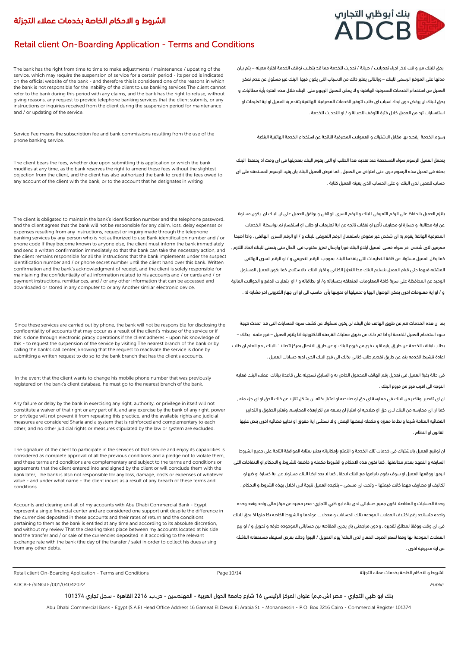# بنك أبوظب التجارب ADCB

# الشروط و االحكام الخاصة بخدمات عمالء التجزئة

# Retail client On-Boarding Application - Terms and Conditions

The bank has the right from time to time to make adjustments / maintenance / updating of the service, which may require the suspension of service for a certain period - its period is indicated on the official website of the bank - and therefore this is considered one of the reasons in which the bank is not responsible for the inability of the client to use banking services The client cannot refer to the bank during this period with any claims, and the bank has the right to refuse, without giving reasons, any request to provide telephone banking services that the client submits, or any instructions or inquiries received from the client during the suspension period for maintenance and / or updating of the service.

Service Fee means the subscription fee and bank commissions resulting from the use of the phone banking service.

The client bears the fees, whether due upon submitting this application or which the bank modifies at any time, as the bank reserves the right to amend these fees without the slightest objection from the client, and the client has also authorized the bank to credit the fees owed to any account of the client with the bank, or to the account that he designates in writing

The client is obligated to maintain the bank's identification number and the telephone password, and the client agrees that the bank will not be responsible for any claim, loss, delay expenses or expenses resulting from any instructions, request or inquiry made through the telephone banking services by any person who is not authorized to use Bank identification number and / or phone code If they become known to anyone else, the client must inform the bank immediately and send a written confirmation immediately so that the bank can take the necessary action, and the client remains responsible for all the instructions that the bank implements under the suspect identification number and / or phone secret number until the client hand over this bank. Written confirmation and the bank's acknowledgment of receipt, and the client is solely responsible for maintaining the confidentiality of all information related to his accounts and / or cards and / or payment instructions, remittances, and / or any other information that can be accessed and downloaded or stored in any computer to or any Another similar electronic device.

 Since these services are carried out by phone, the bank will not be responsible for disclosing the confidentiality of accounts that may occur as a result of the client's misuse of the service or if this is done through electronic piracy operations if the client adheres - upon his knowledge of this - to request the suspension of the service by visiting The nearest branch of the bank or by calling the bank's call center, knowing that the request to reactivate the service is done by submitting a written request to do so to the bank branch that has the client's accounts.

 In the event that the client wants to change his mobile phone number that was previously registered on the bank's client database, he must go to the nearest branch of the bank.

Any failure or delay by the bank in exercising any right, authority, or privilege in itself will not constitute a waiver of that right or any part of it, and any exercise by the bank of any right, power or privilege will not prevent it from repeating this practice, and the available rights and judicial measures are considered Sharia and a system that is reinforced and complementary to each other, and no other judicial rights or measures stipulated by the law or system are excluded.

The signature of the client to participate in the services of that service and enjoy its capabilities is considered as complete approval of all the previous conditions and a pledge not to violate them, and these terms and conditions are complementary and subject to the terms and conditions or agreements that the client entered into and signed by the client or will conclude them with the bank later, The bank is also not responsible for any loss, damage, costs or expenses of whatever value - and under what name - the client incurs as a result of any breach of these terms and conditions.

Accounts and clearing unit all of my accounts with Abu Dhabi Commercial Bank - Egypt represent a single financial center and are considered one support unit despite the difference in the currencies deposited in these accounts and their rates of return and the conditions pertaining to them as the bank is entitled at any time and according to its absolute discretion, and without my review That the clearing takes place between my accounts located at his side and the transfer and / or sale of the currencies deposited in it according to the relevant exchange rate with the bank (the day of the transfer / sale) in order to collect his dues arising from any other debts.

Retail client On-Boarding Application - Terms and Conditions التجزئة عمالء بخدمات الخاصة االحكام و الشروط

ADCB-E/SINGLE/001/04042022 Public

بنك ابو ظبي التجاري - مصر )ش.م.م( عنوان المركز الرئيسي 16 شارع جامعة الدول العربية - المهندسين - ص.ب. 2216 القاهرة - سجل تجاري 101374

Page 10/14

Abu Dhabi Commercial Bank - Egypt (S.A.E) Head Office Address 16 Gameat El Dewal El Arabia St. - Mohandessin - P.O. Box 2216 Cairo - Commercial Register 101374

يحق للبنك من و قت الخر اجراء تعديالت / صيانة / تحديث للخدمة مما قد يتطلب توقف الخدمة لفترة معينه – يتم بيان مدتها على الموقع الرسمى للبنك – وبالتالى يعتبر ذلك من االسباب التى يكون فيها البنك غير مسئول عن عدم تمكن العميل من استخدام الخدمات المصرفية الهاتفية و ال يمكن للعميل الرجوع على البنك خالل هذه الفترة بأية مطالبات, و يحق للبنك ان يرفض دون ابداء اسباب اى طلب لتوفير الخدمات المصرفية الهاتفية يتقدم به العميل او اية تعليمات او استفسارات ترد من العميل خالل فترة التوقف للصيانة و / او التحديث للخدمة .

رسوم الخدمة يقصد بها مقابل االشتراك و العموالت المصرفية الناتجة عن استخدام الخدمة الهاتفية البنكية

يتحمل العميل الرسوم سواء المستحقة عند تقديم هذا الطلب او التى يقوم البنك بتعديلها فى اى وقت اذ يحتفظ البنك بحقه فى تعديل هذه الرسوم دون ادنى اعتراض من العميل , كما فوض العميل البنك بان يقيد الرسوم المستحقه على اى حساب للعميل لدى البنك او على الحساب الذى يعينه العميل كتابة .

يلتزم العميل بالحفاظ على الرقم التعريفى للبنك و الرقم السرى الهاتفى و يوافق العميل على ان البنك لن يكون مسئوال عن اية مطالبة او خسارة او مصاريف تأخير او نفقات ناتجه عن اية تعليمات او طلب او استفسار تم بواسطة الخدمات المصرفية الهاتفة يقوم به اى شخص غير مفوض باستعمال الرقم التعريفى للبنك و / او الرقم السرى الهاتفى , واذا اصبحا معرفين الى شخص اخر سواه فعلى العميل ابالغ البنك فورا وارسال تعزيز مكتوب فى الحال حتى يتسنى للبنك اتخاذ الالزم , كما يظل العميل مسئوال عن كافة التعليمات التى ينفذها البنك بموجب الرقم التعريفي و / او الرقم السرى الهاتفى المشتبه فيهما حتى قيام العميل بتسليم البنك هذا التعزيز الكتابى و اقرار البنك باالستالم, كما يكون العميل المسئول الوحيد عن المحافظة على سرية كافة المعلومات المتعلقه بحساباته و/ او بطاقاته و / او بتعليات الدفع و الحواالت المالية و / او اية معلومات اخرى يمكن الوصول اليها و تحميلها او تخزينها بأى حاسب الى او اى جهاز الكترونى اخر مشابه له .

بما ان هذه الخدمات تتم عن طريق الهاتف فان البنك لن يكون مسئوال عن كشف سريه الحسابات التى قد تحدث نتيجة سوء استخدام العميل للخدمة او اذا تم ذلك عن طريق عمليات القرصنه االلكترونية اذا يلتزم العميل – فور علمه بذلك – بطلب ايقاف الخدمة عن طريق زياره اقرب فرع من فروع البنك او عن طريق االتصال بمركز اتصاالت البنك , مع العلم ان طلب اعادة تنشيط الخدمه يتم عن طريق تقديم طلب كتابى بذلك الى فرع البنك الذى لديه حسابات العميل .

فى حالة رغبة العميل فى تعديل رقم الهاتف المحمول الخاص به و السابق تسجيله على قاعدة بيانات عمالء البنك فعليه التوجه الى اقرب فرع من فروع البنك .

ان اى تقصير اوتاخير من البنك فى ممارسة اى حق او صالحيه او امتياز بذاته لن يشكل تنازال عن ذلك الحق او اى جزء منه , كما ان اى ممارسه من البنك الى حق او صالحيه او امتياز لن يمنعه من تكرارهذه الممارسه, وتعتبر الحقوق و التدابير القضائيه المتاحة شرعا و نظاما معززه و مكمله لبعضها البعض و ال تستثنى اية حقوق او تدابير قضائيه اخرى ينص عليها القانون او النظام .

ان توقيع العميل بالاشتراك فى خدمات تلك الخدمة و التمتع بامكانياته يعتبر بمثابة الموافقة التامة على جميع الشروط السابقه و التعهد بعدم مخالفتها , كما تكون هذه االحكام و الشروط مكمله و خاضعة للشروط و االحكام او االتفاقات التى ابرمها ووقعها العميل او سوف يقوم بابرامها مع البنك الحقا , كما ال يعد ايضا البنك مسئوال عن اية خسارة او ضرر او تكاليف او مصاريف مهما كانت قيمتها – وتحت اى مسمى – يتكبده العميل نتيجة الى اخالل بهذه الشروط و االحكام .

وحدة الحسابات و المقاصة تكون جميع حساباتى لدى بنك ابو ظبي التجاري- مصر معبره عن مركز مالى واحد وتعد وحده واحده متسانده رغم اختالف العمالت المودعه بتلك الحسابات و معدالت عوئدها و الشروط الخاصه بكا منها اذ يحق للبنك فى اى وقت ووفقا لمطلق تقديره , و دون مراجعتى بان يجرى المقاصه بين حساباتى الموجوده طرفه و تحويل و / او بيع العملات المودعة بها وفقا لسعر الصرف المعان لدى البنك( يوم التحويل / البيع) وذلك بغرض استيفاء مستحقاته الناشئه عن اية مديونية اخرى .

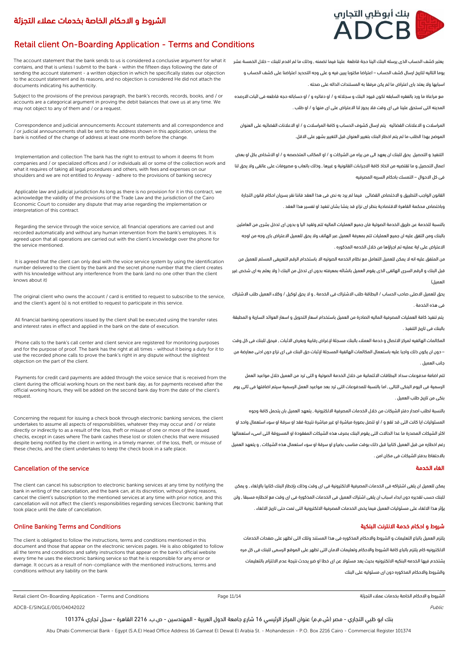# Retail client On-Boarding Application - Terms and Conditions

The account statement that the bank sends to us is considered a conclusive argument for what it contains, and that is unless I submit to the bank - within the fifteen days following the date of sending the account statement - a written objection in which he specifically states our objection to the account statement and its reasons, and no objection is considered He did not attach the documents indicating his authenticity.

Subject to the provisions of the previous paragraph, the bank's records, records, books, and / or accounts are a categorical argument in proving the debit balances that owe us at any time. We may not object to any of them and / or a request.

 Correspondence and judicial announcements Account statements and all correspondence and / or judicial announcements shall be sent to the address shown in this application, unless the bank is notified of the change of address at least one month before the change.

 Implementation and collection The bank has the right to entrust to whom it deems fit from companies and / or specialized offices and / or individuals all or some of the collection work and what it requires of taking all legal procedures and others, with fees and expenses on our shoulders and we are not entitled to Anyway - adhere to the provisions of banking secrecy

 Applicable law and judicial jurisdiction As long as there is no provision for it in this contract, we acknowledge the validity of the provisions of the Trade Law and the jurisdiction of the Cairo Economic Court to consider any dispute that may arise regarding the implementation or interpretation of this contract.

 Regarding the service through the voice service, all financial operations are carried out and recorded automatically and without any human intervention from the bank's employees. It is agreed upon that all operations are carried out with the client's knowledge over the phone for the service mentioned.

 It is agreed that the client can only deal with the voice service system by using the identification number delivered to the client by the bank and the secret phone number that the client creates with his knowledge without any interference from the bank (and no one other than the client knows about it)

The original client who owns the account / card is entitled to request to subscribe to the service, and the client's agent (s) is not entitled to request to participate in this service.

 All financial banking operations issued by the client shall be executed using the transfer rates and interest rates in effect and applied in the bank on the date of execution.

 Phone calls to the bank's call center and client service are registered for monitoring purposes and for the purpose of proof. The bank has the right at all times - without it being a duty for it to use the recorded phone calls to prove the bank's right in any dispute without the slightest objection on the part of the client.

 Payments for credit card payments are added through the voice service that is received from the client during the official working hours on the next bank day, as for payments received after the official working hours, they will be added on the second bank day from the date of the client's request.

Concerning the request for issuing a check book through electronic banking services, the client undertakes to assume all aspects of responsibilities, whatever they may occur and / or relate directly or indirectly to as a result of the loss, theft or misuse of one or more of the issued checks, except in cases where The bank cashes these lost or stolen checks that were misused despite being notified by the client in writing, in a timely manner, of the loss, theft, or misuse of these checks, and the client undertakes to keep the check book in a safe place.

### Cancellation of the service

The client can cancel his subscription to electronic banking services at any time by notifying the bank in writing of the cancellation, and the bank can, at its discretion, without giving reasons, cancel the client's subscription to the mentioned services at any time with prior notice, and this cancellation will not affect the client's responsibilities regarding services Electronic banking that took place until the date of cancellation.

## شروط و احكام خدمة الانترنت البنكية المستخدمة الانترنت البنكية المستخدمة الانترنت البنكية المستخدمة الانترنت البنكية

The client is obligated to follow the instructions, terms and conditions mentioned in this document and those that appear on the electronic services pages. He is also obligated to follow all the terms and conditions and safety instructions that appear on the bank's official website every time he uses the electronic banking service so that he is responsible for any error or damage. It occurs as a result of non-compliance with the mentioned instructions, terms and conditions without any liability on the bank

Retail client On-Boarding Application - Terms and Conditions التجزئة عمالء بخدمات الخاصة االحكام و الشروط

ADCB-E/SINGLE/001/04042022 Public Research of the control of the control of the control of the control of the control of the control of the control of the control of the control of the control of the control of the control

بنك ابو ظبي التجاري - مصر (ش.م.م) عنوان المركز الرئيسي 16 شارع جامعة الدول العربية - المهندسين - ص.ب. 2216 القاهرة - سجل تجاري 101374

Abu Dhabi Commercial Bank - Egypt (S.A.E) Head Office Address 16 Gameat El Dewal El Arabia St. - Mohandessin - P.O. Box 2216 Cairo - Commercial Register 101374

# بنك أبوظبي التجارب ADCB

يعتبر كشف الحساب الذى يرسله البنك الينا حجة قاطعة علينا فيما تضمنه , وذلك ما لم اقدم للبنك – خالل الخمسة عشر يوما التاليه لتاريخ ارسال كشف الحساب – اعتراضا مكتوبا يبين فيه و على وجه التحديد اعتراضنا على كشف الحساب و اسبابها وال يعتد باى اعتراض ما لم يكن مرفقا به المستندات الداله على صحته .

مع مراعاة ما ورد بالفقره السابقه تكون قيود البنك و سجالته و / او دفاتره و / او حساباته حجه قاطعه فى اثبات االرصده المدينه التى تستحق علينا فى اى وقت فال يجوز لنا االعتراض على اى منها و / او طلب .

المراسالت و االعالنات القضائيه يتم ارسال كشوف الحساب و كافة المراسالت و / او االعالنات القضائيه على العنوان الموضح بهذا الطلب ما لم يتم اخطار البنك بتغيير العنوان قبل التغيير بشهر على االقل.

التنفيذ و التحصيل يحق للبنك ان يعهد الى من يراه من الشركات و / او المكاتب المتخصصه و / او االشخاص بكل او بعض اعمال التحصيل و ما تقتضيه من اتخاذ كافة االجراءات القانونية و غيرها , وذلك باتعاب و مصروفات على عاتقى وال يحق لنا فى كل االحوال – التمسك باحكام السريه المصرفيه

القانون الواجب التطبيق و االختصاص القضائى فيما لم يرد به نص فى هذا العقد فاننا نقر بسريان احكام قانون التجارة وباختصاص محكمة القاهرة االقتصادية بنظر اى نزاع قد ينشا بشان تنفيذ او تفسير هذا العقد .

بالنسبة للخدمة عن طريق الخدمة الصوتية فان جميع العمليات الماليه تتم وتقيد اليا و بدون اى تدخل بشرى من العاملين بالبنك ومن التفق عليه ان جميع العمليات تتم بمعرفة العميل عبر الهاتف وال يحق للعميل االعتراض باى وجه من اوجه

االعتراض على اية عمليه تم اجراؤها من خالل الخدمه المذكوره . من المتفق عليه انه ال يمكن للعميل التعامل مع نظام الخدمه الصوتيه اال باستخدام الرقم التعريفى المسلم للعميل من

قبل البنك و الرقم السرى الهاتفى الذى يقوم العميل بانشائه بمعرفته بدون اى تدخل من البنك ) وال يعلم به اى شخص غير العميل(

يحق للعميل االصلى صاحب الحساب / البطاقة طلب االشتراك فى الخدمة , و ال يحق لوكيل / وكالء العميل طلب االشتراك فى هذه الخدمة .

يتم تنفيذ كافة العمليات المصرفية الماليه الصادرة من العميل باستخدام اسعار التحويل و اسعار العوائد السارية و المطبقة بالبنك فى تاريخ التنفيذ .

المكالمات الهاتفيه لمركز االتصال و خدمة العمالء بالبنك مسجلة إلغراض رقابية وبغرض االثبات , فيحق للبنك فى كل وقت – دون ان يكون ذلك واجبا عليه باستعمال المكالمات الهاتفية المسجلة إلثبات حق البنك فى اى نزاع دون ادنى معارضة من جانب العميل .

تتم اضافة مدفوعات سداد البطاقات االئتمانية من خالل الخدمة الصوتية و التى ترد من العميل خالل مواعيد العمل الرسمية فى اليوم البنكى التالى , اما بالنسبة للمدفوعات التى ترد بعد مواعيد العمل الرسمية سيتم اضافتها فى ثاتى يوم بنكى من تاريخ طلب العميل .

بالنسبة لطلب اصدار دفتر الشيكات من خالل الخدمات المصرفية االلكترونية , يتعهد العميل بان يتحمل كافة وجوه المسئوليات ايا كانت التى قد تقع و / او تتصل بصورة مباشرة او غير مباشرة نتيجة فقد او سرقة او سوء استعمال واحد او اكثر الشيكات المصدرة ما عدا الحاالت التى يقوم البنك بصرف هذه الشيكات المفقودة او المسروقة التى اسىء استعمالها رغم اخطاره من قبل العميل كتابيا قبل ذلك بوقت مناسب بضياع او سرقة او سوء استعمال هذه الشيكات , و يتعهد العميل باالحتفاظ بدفتر الشيكات فى مكان امن .

## الغاء الخدمة

يمكن للعميل ان يلغى اشتراكه فى الخدمات المصرفية االلكترونية فى اى وقت وذلك بإخطار البنك كتابيا باإللغاء , و يمكن للبنك حسب تقديره دون ابداء اسباب ان يلغى اشتراك العميل فى الخدمات المذكورة فى اى وقت مع اخطاره مسبقا , ولن يؤثر هذا االلغاء على مسئوليات العميل فيما يخص الخدمات المصرفية االلكترونية التى تمت حتى تاريخ االلغاء .

يلتزم العميل باتباع التعليمات و الشروط واالحكام المذكوره فى هذا المستند وتلك التى تظهر على صفحات الخدمات االلكترونيه كام يلتزم باتباع كافة الشروط واالحكام وتعليمات االمان التى تظهر على الموقع الرسمى للبنك فى كل مره يشتخدم فيها الخدمه البنكيه االلكترونيه بحيث يعد مسئوال عن اى خطا او ضرر يحدث نتيجة عدم االلتزام بالتعليمات والشروط واالحكام المذكوره دون اى مسئوليه على البنك

Page 11/14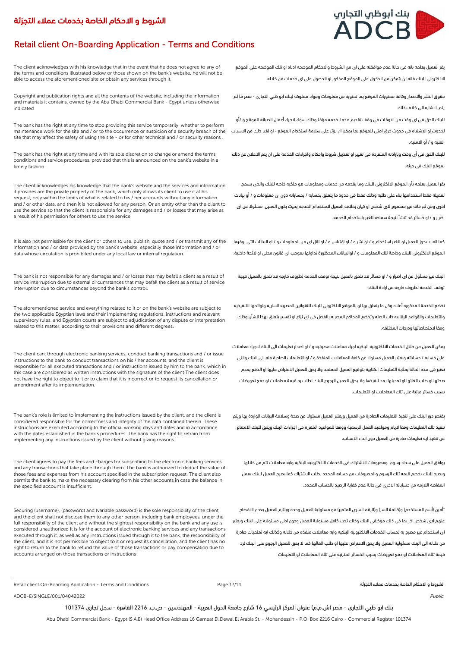# ر بنك أبوظبي التجارب ADCB

# Retail client On-Boarding Application - Terms and Conditions

The client acknowledges with his knowledge that in the event that he does not agree to any of the terms and conditions illustrated below or those shown on the bank's website, he will not be able to access the aforementioned site or obtain any services through it.

Copyright and publication rights and all the contents of the website, including the information and materials it contains, owned by the Abu Dhabi Commercial Bank - Egypt unless otherwise indicated

The bank has the right at any time to stop providing this service temporarily, whether to perform maintenance work for the site and / or to the occurrence or suspicion of a security breach of the site that may affect the safety of using the site - or for other technical and / or security reasons

The bank has the right at any time and with its sole discretion to change or amend the terms, conditions and service procedures, provided that this is announced on the bank's website in a timely fashion.

The client acknowledges his knowledge that the bank's website and the services and information it provides are the private property of the bank, which only allows its client to use it at his request, only within the limits of what is related to his / her accounts without any information and / or other data, and then it is not allowed for any person. Or an entity other than the client to use the service so that the client is responsible for any damages and / or losses that may arise as a result of his permission for others to use the service

It is also not permissible for the client or others to use, publish, quote and / or transmit any of the information and / or data provided by the bank's website, especially those information and / or data whose circulation is prohibited under any local law or internal regulation.

The bank is not responsible for any damages and / or losses that may befall a client as a result of service interruption due to external circumstances that may befall the client as a result of service interruption due to circumstances beyond the bank's control.

The aforementioned service and everything related to it or on the bank's website are subject to the two applicable Egyptian laws and their implementing regulations, instructions and relevant supervisory rules, and Egyptian courts are subject to adjudication of any dispute or interpretation related to this matter, according to their provisions and different degrees.

The client can, through electronic banking services, conduct banking transactions and / or issue instructions to the bank to conduct transactions on his / her accounts, and the client is responsible for all executed transactions and / or instructions issued by him to the bank, which in this case are considered as written instructions with the signature of the client The client does not have the right to object to it or to claim that it is incorrect or to request its cancellation or amendment after its implementation.

The bank's role is limited to implementing the instructions issued by the client, and the client is considered responsible for the correctness and integrity of the data contained therein. These instructions are executed according to the official working days and dates and in accordance with the dates established in the bank's procedures. The bank has the right to refrain from implementing any instructions issued by the client without giving reasons.

The client agrees to pay the fees and charges for subscribing to the electronic banking services and any transactions that take place through them. The bank is authorized to deduct the value of those fees and expenses from his account specified in the subscription request. The client also permits the bank to make the necessary clearing from his other accounts in case the balance in the specified account is insufficient.

Securing (username), (password) and (variable password) is the sole responsibility of the client, and the client shall not disclose them to any other person, including bank employees, under the full responsibility of the client and without the slightest responsibility on the bank and any use is considered unauthorized It is for the account of electronic banking services and any transactions executed through it, as well as any instructions issued through it to the bank, the responsibility of the client, and it is not permissible to object to it or request its cancellation, and the client has no right to return to the bank to refund the value of those transactions or pay compensation due to accounts arranged on those transactions or instructions

يقر العميل بعلمه بانه فى حالة عدم موافقته على اى من الشروط واالحكام الموضحه ادناه او تلك الموضحه على الموقع االلكترونى للبنك فانه لن يتمكن من الدخول على الموقع المذكور او الحصول على اى خدمات من خالله

حقوق النشر واالصدار وكافة محتويات الموقع بما تحتويه من معلومات ومواد مملوكه لبنك ابو ظبي التجاري - مصر ما لم يتم االشاره الى خالف ذلك

للبنك الحق فى اى وقت من االوقات فى وقف تقديم هذه الخدمه مؤقتاوذلك سواء الجراء أعمال الصيانه للموقع و /أو لحدوث او االشتباه فى حدوث خرق امنى للموقع بما يمكن ان يؤثر على سالمة استخدام الموقع - او لغير ذلك من االسباب الفنيه و / أو االمنيه.

للبنك الحق فى أى وقت وبارادته المنفردة فى تغيير او تعدييل شروط واحكام واجراءات الخدمة على ان يتم االعالن عن ذلك بموقع البنك فى حينه.

يقر العميل بعلمه بأن الموقع االلكترونى للبنك وما يقدمه من خدمات ومعلومات هو ملكيه خاصه للبنك والذى يسمح لعميله فقط استخدامها بناء على طلبه وذلك فقط فى حدود ما يتعلق بحسابه / بحساباته دون اى معلومات و / أو بيانات اخرى ومن ثم فانه غير مسموح الى شخص او كيان بخالف العميل الستخدام الخدمه بحيث يكون العميل مسئوال عن اى اضرار و / او خسائر قد تنشأ نتيجة سماحه للغير باستخدام الخدمه

كما انه ال يجوز للعميل او للغير استخدام و / او نشر و / او اقتباس و / او نقل اى من المعلومات و / او البيانات التى يوفرها الموقع االلكترونى للبنك وخاصة تلك المعلومات و / اوالبيانات المحظورة تداولها بموجب اى قانون محلى او الئحة داخلية.

البنك غير مسئول عن اى اضرار و / او خسائر قد تلحق باعميل نتيجة توقف الخدمه لظروف خارجه قد تلحق بالعميل نتيجة توقف الخدمه لظروف خارجه عن ارادة البنك

تخضع الخدمة المذكوره أعاله وكل ما يتعلق بها او بالموقع االلكترونى للبنك للقنوانين المصريه الساريه ولوائحها التنفيذيه والتعليمات والقواعد الرقابيه ذات الصله وتخضع المحاكم المصريه بالفصل فى اى نزاع او تفسير يتعلق بهذا الشأن وذلك وفقا الحتصاصاتها ودرجات المختلفه.

يمكن للعميل من خالل الخدمات االلكترونيه البنكيه اجراء معامالت مصرفيه و / او اصدار تعليمات الى البنك الجراء معامالت على حسابه / حساباته ويعتبر العميل مسئوال عن كافة المعامالت المنفذة و / او التعليمات الصادرة منه الى البنك والتى تعتبر فى هذه الحالة بمثابة التعليمات الكتابية بتوقيع العميل المعتمد وال يحق للعميل االعتراض عليها او الدفع بعدم صحتها او طلب الغائها او تعديلها بعد تنفيذها وال يحق للعميل الرجوع للبنك لطلب رد قيمة معامالت او دفع تعويضات بسبب خسائر مرتبة على تلك المعاملات او التعليمات.

بقتصر دور البنك على تنفيذ التعليمات الصادرة من العميل ويعتبر العميل مسئوال عن صحة وسالمة البيانات الواردة بها ويتم تنفيذ تلك التعليمات وفقا اليام ومواعيد العمل الرسمبة ووفقا للمواعيد المقررة فى اجراءات البنك ويحق للبنك االمتناع عن تنفيذ ايه تعليمات صادرة من العميل دون ابداء االسباب.

يوافق العميل على سداد رسوم ومصروفات االشتراك فى الخدمات االلكترونيه البنكيه وايه معامالت تتم من خاللها ويصرح للبنك بخصم قيمه تلك الرسوم والمصروفات من حسابه المحدد بطلب االشتراك كما يصرح العميل للبنك بعمل المقاصه الالزمه من حساباته االخرى فى حالة عدم كفاية الرصيد بالحساب المحدد.

تأمين (أسم المستخدم) و(كالمة السر) و(الرقم السرى المتغير) هو مسئولية العميل وحده ويلتزم العميل بعدم الافصاح عنهم الى شخص اخر بما فى ذلك موظفى البنك وذلك تحت كامل مسئولية العميل ودون ادنى مسئوليه على البنك ويعتبر اى استخدام غير مصرح به لحساب الخدمات االلكترونيه البنكيه وايه معامالت منفذه من خالله وكذلك ايه تعلميات صادرة من خالله الى البنك مسئولية العميل وال يحق االعتراض عليها او طلب الغائها كما ال يحق للعميل الرجوع على البنك لرد قيمة تلك المعامالت او دفع تعويضات بسبب الخسائر المترتبه على تلك المعامالت او التعليمات

Retail client On-Boarding Application - Terms and Conditions Page 12/14 التجزئة عمالء بخدمات الخاصة االحكام و الشروط

ADCB-E/SINGLE/001/04042022 Public

بنك ابو ظبي التجاري - مصر (ش.م.م) عنوان المركز الرئيسي 16 شارع جامعة الدول العربية - المهندسين - ص.ب. 2216 القاهرة - سجل تجاري 101374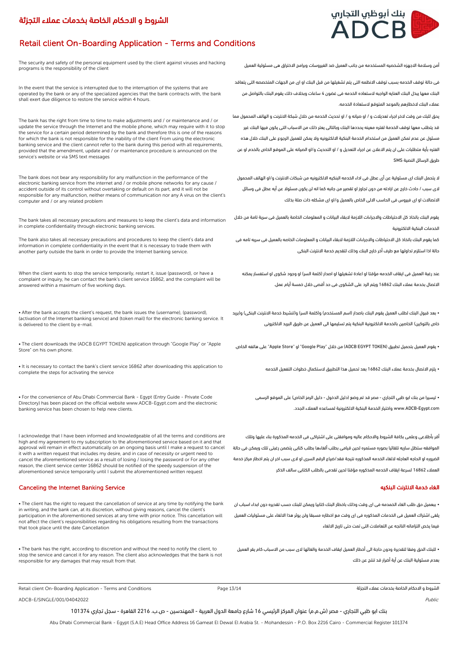# بنك أبوظبي التجاري **ADCB**

# Retail client On-Boarding Application - Terms and Conditions

The security and safety of the personal equipment used by the client against viruses and hacking programs is the responsibility of the client

In the event that the service is interrupted due to the interruption of the systems that are operated by the bank or any of the specialized agencies that the bank contracts with, the bank shall exert due diligence to restore the service within 4 hours.

The bank has the right from time to time to make adjustments and / or maintenance and / or update the service through the Internet and the mobile phone, which may require with it to stop the service for a certain period determined by the bank and therefore this is one of the reasons for which the bank is not responsible for the inability of the client From using the electronic banking service and the client cannot refer to the bank during this period with all requirements, provided that the amendment, update and / or maintenance procedure is announced on the service's website or via SMS text messages

The bank does not bear any responsibility for any malfunction in the performance of the electronic banking service from the internet and / or mobile phone networks for any cause / accident outside of its control without overtaking or default on its part, and it will not be responsible for any malfunction, neither means of communication nor any A virus on the client's computer and / or any related problem

The bank takes all necessary precautions and measures to keep the client's data and information in complete confidentiality through electronic banking services.

The bank also takes all necessary precautions and procedures to keep the client's data and information in complete confidentiality in the event that it is necessary to trade them with another party outside the bank in order to provide the Internet banking service.

When the client wants to stop the service temporarily, restart it, issue (password), or have a complaint or inquiry, he can contact the bank's client service 16862, and the complaint will be answered within a maximum of five working days.

• After the bank accepts the client's request, the bank issues the (username), (password), (activation of the Internet banking service) and (token mail) for the electronic banking service. It is delivered to the client by e-mail.

• The client downloads the (ADCB EGYPT TOKEN) application through "Google Play" or "Apple Store" on his own phone.

• It is necessary to contact the bank's client service 16862 after downloading this application to complete the steps for activating the service

• For the convenience of Abu Dhabi Commercial Bank - Egypt (Entry Guide - Private Code Directory) has been placed on the official website www.ADCB-Egypt.com and the electronic banking service has been chosen to help new clients.

I acknowledge that I have been informed and knowledgeable of all the terms and conditions are high and my agreement to my subscription to the aforementioned service based on it and that approval will remain in effect automatically on an ongoing basis until I make a request to cancel it with a written request that includes my desire, and in case of necessity or urgent need to cancel the aforementioned service as a result of losing / losing the password or For any other reason, the client service center 16862 should be notified of the speedy suspension of the aforementioned service temporarily until I submit the aforementioned written request

### Canceling the Internet Banking Service البنكيه االنترنت خدمة الغاء

• The client has the right to request the cancellation of service at any time by notifying the bank in writing, and the bank can, at its discretion, without giving reasons, cancel the client's participation in the aforementioned services at any time with prior notice. This cancellation will not affect the client's responsibilities regarding his obligations resulting from the transactions that took place until the date Cancellation

• The bank has the right, according to discretion and without the need to notify the client, to stop the service and cancel it for any reason. The client also acknowledges that the bank is not responsible for any damages that may result from that.

Retail client On-Boarding Application - Terms and Conditions Page 13/14 التجزئة عمالء بخدمات الخاصة االحكام و الشروط

ADCB-E/SINGLE/001/04042022 Public Research 2022 Public Research 2021 Public Research 2021 Public Research 2022

بنك ابو ظبي التجاري - مصر )ش.م.م( عنوان المركز الرئيسي 16 شارع جامعة الدول العربية - المهندسين - ص.ب. 2216 القاهرة - سجل تجاري 101374

Abu Dhabi Commercial Bank - Egypt (S.A.E) Head Office Address 16 Gameat El Dewal El Arabia St. - Mohandessin - P.O. Box 2216 Cairo - Commercial Register 101374

أمن وسالمة االجهزه الشخصيه المستخدمه من جانب العميل ضد الفيروسات وبرامج االختراق هى مسئولية العميل

فى حالة توقف الخدمه بسبب توقف االنظمه التى يتم تشغيلها من قبل البنك او اى من الجهات المتخصصه التى يتعاقد البنك معها يبذل البنك العنايه الواجبه الستعاده الخدمه فى غضون 4 ساعات وبخالف ذلك يقوم البنك بالتواصل من عمالء البنك الخطارهم بالموعد المتوقع الستعادة الخدمه.

يحق للبك من وقت الخر اجراء تعديالت و / او صيانه و / او تحديث الخدمه من خالل شبكة االنترنت و الهاتف المحمول مما قد يتطلب معها توقف الخدمة لفتره معينه يحددها البنك وبالتالى يعتر ذلك من االسباب التى يكون فيها البنك غير مسئول عن عدم تمكن العميل من استخدام الخدمة البنكية االلكترونيه وال يمكن للعميل الرجوع على البنك خالل هذه الفتره بأية متطلبات على ان يتم االعالن عن اجراء التعديل و / او التحديث و/او الصيانه على الموقع الخاص بالخدم او عن طريق الرسائل النصية SMS

ال يتحمل البنك اى مسئولية عن أى عطل فى اداء الخدمه البنكيه االلكترونيه من شبكات االنترنت و/او الهاتف المحمول الى سبب / حادث خارج عن ارادته من دون تجاوز او تقصير من جانبه كما انه لن يكون مسئوال عن أيه عطل فى وسائل االتصاالت او اى فيروس فى الحاسب االلى الخاص بالعميل و/او اى مشكله ذات صلة بذلك

يقوم البنك باتخاذ كل الاحتياطات والاجراءات اللازمة لابقاء البيانات و المعلومات الخاصة بالعميل فى سرية تامة من خلال الخدمات البنكية االلكترونية

كما يقوم البنك باتخاذ كل االحتياطات واالجراءات الالزمة البقاء البيانات و المعلومات الخاصه بالعميل فى سريه تامه فى حالة اذا استلزم تداولها مع طرف أخر خارج البنك وذلك لتقديم خدمة االنترنت البنكى

عند رغبة العميل فى ايقاف الخدمه مؤقتا او اعادة تشغيلها او اصدار (كلمة السر) او وجود شكوى او استفسار يمكنه االتصال بخدمة عمالء البنك 16862 ويتم الرد على الشكوى فى حد أقصى خالل خمسة أيام عمل.

• بعد قبول البنك لطلب العميل يقوم البنك باصدار (اسم المستخدم) و(كلمة السر) و(تنشيط خدمة الانترنت البنكى) و(بريد خاص بالتوكين) الخاصين بالخدمة الالكترونية البنكية يتم تسليمها الى العميل عن طريق البريد الالكترونى

• يقوم العميل بتحميل تطبيق )TOKEN EGYPT ADCB )من خالل "Play Google "او "Store Apple "على هاتفه الخاص.

• يلزم االتصال بخدمة عمالء البنك 16862 بعد تحميل هذا التطبيق الستكمال خطوات التفعيل الخدمه

• تيسيرا من بنك ابو ظبي التجاري - مصر قد تم وضع (دليل الدخول - دليل الرمز الخاص) على الموقع الرسمى com.Egypt-ADCB.www واختيار الخدمة البنكية االلكترونية لمساعده العمالء الجدد.

أقر بأطالعى وعلمى بكافة الشروط واالحكام عاليه وموافقتى على اشتراكى فى الخدمه المذكورة بناء عليها وتلك الموافقه ستظل ساريه تلقائيا بصوره مستمره لحين قيامى بطلب ألغاءها بطلب كتابى يتضمن رغبتى تلك ويمكن فى حالة الضروره او الحاجه العاجله اللغاء الخدمه المذكوره نتيجة فقد/ضياع الرقم السرى او الى سبب اخر ان يتم اخطار مركز خدمة العمالء 16862 لسرعة ايقاف الخدمه المذكوره مؤقتا لحين تقدمى بالطلب الكتابى سالف الذكر

• ببعميل حق طلب الغاء الخمدمه فى اى وقت وذلك باخطار البنك كتابيا ويمكن للبنك حسب تقديره دون ابداء اسباب ان يلغى اشتراك العميل فى الخدمات المذكوره فى اى وقت مع اخطاره مسبقا ولن يوثر هذا االلغاء على مسئوليات العميل فيما يخص التزاماته الناتجه عن التعامالت التى تمت حتى تاريخ االلغاء

• للبنك الحق وفقا لتقديرة ودون حاجة الى أخطار العميل ايقاف الخدمة والغائها الى سبب من االسباب كام يقر العميل بعدم مسئولية البنك عن أية أضرار قد تنتج عن ذلك